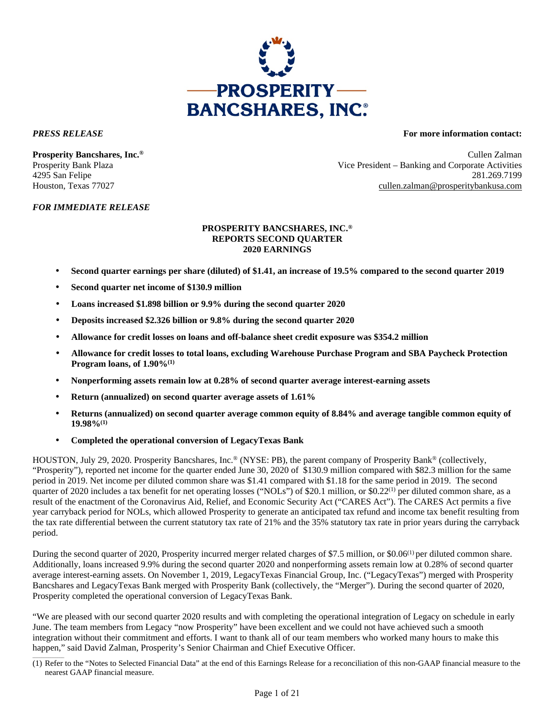

 $\mathcal{L}=\mathcal{L}$ 

### *FOR IMMEDIATE RELEASE*

### *PRESS RELEASE* **For more information contact:**

**Prosperity Bancshares, Inc.®** Cullen Zalman Prosperity Bank Plaza Vice President – Banking and Corporate Activities 4295 San Felipe 281.269.7199<br>Houston, Texas 77027 281.269.7199 cullen.zalman@prosperitybankusa.com cullen.zalman@prosperitybankusa.com

### **PROSPERITY BANCSHARES, INC.® REPORTS SECOND QUARTER 2020 EARNINGS**

- **Second quarter earnings per share (diluted) of \$1.41, an increase of 19.5% compared to the second quarter 2019**
- **Second quarter net income of \$130.9 million**
- **Loans increased \$1.898 billion or 9.9% during the second quarter 2020**
- **Deposits increased \$2.326 billion or 9.8% during the second quarter 2020**
- **Allowance for credit losses on loans and off-balance sheet credit exposure was \$354.2 million**
- **Allowance for credit losses to total loans, excluding Warehouse Purchase Program and SBA Paycheck Protection Program loans, of 1.90%(1)**
- **Nonperforming assets remain low at 0.28% of second quarter average interest-earning assets**
- **Return (annualized) on second quarter average assets of 1.61%**
- **Returns (annualized) on second quarter average common equity of 8.84% and average tangible common equity of 19.98%(1)**
- **Completed the operational conversion of LegacyTexas Bank**

HOUSTON, July 29, 2020. Prosperity Bancshares, Inc.® (NYSE: PB), the parent company of Prosperity Bank® (collectively, "Prosperity"), reported net income for the quarter ended June 30, 2020 of \$130.9 million compared with \$82.3 million for the same period in 2019. Net income per diluted common share was \$1.41 compared with \$1.18 for the same period in 2019. The second quarter of 2020 includes a tax benefit for net operating losses ("NOLs") of \$20.1 million, or \$0.22<sup>(1)</sup> per diluted common share, as a result of the enactment of the Coronavirus Aid, Relief, and Economic Security Act ("CARES Act"). The CARES Act permits a five year carryback period for NOLs, which allowed Prosperity to generate an anticipated tax refund and income tax benefit resulting from the tax rate differential between the current statutory tax rate of 21% and the 35% statutory tax rate in prior years during the carryback period.

During the second quarter of 2020, Prosperity incurred merger related charges of \$7.5 million, or \$0.06(1) per diluted common share. Additionally, loans increased 9.9% during the second quarter 2020 and nonperforming assets remain low at 0.28% of second quarter average interest-earning assets. On November 1, 2019, LegacyTexas Financial Group, Inc. ("LegacyTexas") merged with Prosperity Bancshares and LegacyTexas Bank merged with Prosperity Bank (collectively, the "Merger"). During the second quarter of 2020, Prosperity completed the operational conversion of LegacyTexas Bank.

"We are pleased with our second quarter 2020 results and with completing the operational integration of Legacy on schedule in early June. The team members from Legacy "now Prosperity" have been excellent and we could not have achieved such a smooth integration without their commitment and efforts. I want to thank all of our team members who worked many hours to make this happen," said David Zalman, Prosperity's Senior Chairman and Chief Executive Officer.

(1) Refer to the "Notes to Selected Financial Data" at the end of this Earnings Release for a reconciliation of this non-GAAP financial measure to the nearest GAAP financial measure.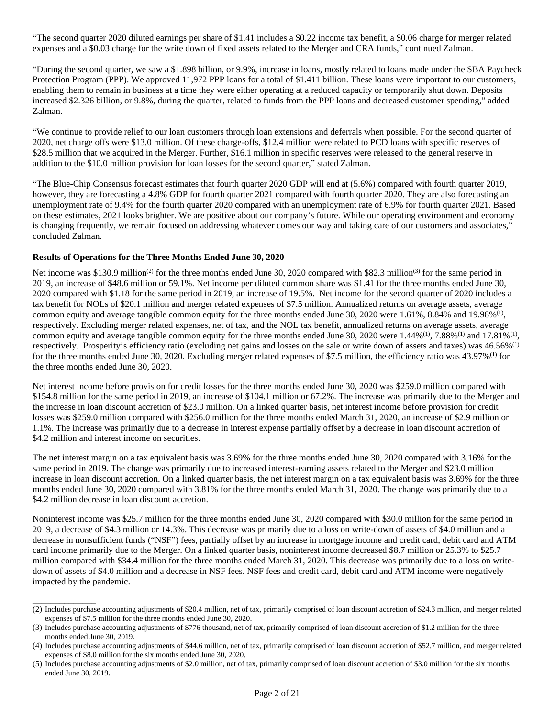"The second quarter 2020 diluted earnings per share of \$1.41 includes a \$0.22 income tax benefit, a \$0.06 charge for merger related expenses and a \$0.03 charge for the write down of fixed assets related to the Merger and CRA funds," continued Zalman.

"During the second quarter, we saw a \$1.898 billion, or 9.9%, increase in loans, mostly related to loans made under the SBA Paycheck Protection Program (PPP). We approved 11,972 PPP loans for a total of \$1.411 billion. These loans were important to our customers, enabling them to remain in business at a time they were either operating at a reduced capacity or temporarily shut down. Deposits increased \$2.326 billion, or 9.8%, during the quarter, related to funds from the PPP loans and decreased customer spending," added Zalman.

"We continue to provide relief to our loan customers through loan extensions and deferrals when possible. For the second quarter of 2020, net charge offs were \$13.0 million. Of these charge-offs, \$12.4 million were related to PCD loans with specific reserves of \$28.5 million that we acquired in the Merger. Further, \$16.1 million in specific reserves were released to the general reserve in addition to the \$10.0 million provision for loan losses for the second quarter," stated Zalman.

"The Blue-Chip Consensus forecast estimates that fourth quarter 2020 GDP will end at (5.6%) compared with fourth quarter 2019, however, they are forecasting a 4.8% GDP for fourth quarter 2021 compared with fourth quarter 2020. They are also forecasting an unemployment rate of 9.4% for the fourth quarter 2020 compared with an unemployment rate of 6.9% for fourth quarter 2021. Based on these estimates, 2021 looks brighter. We are positive about our company's future. While our operating environment and economy is changing frequently, we remain focused on addressing whatever comes our way and taking care of our customers and associates," concluded Zalman.

### **Results of Operations for the Three Months Ended June 30, 2020**

\_\_\_\_\_\_\_\_\_\_\_\_\_\_

Net income was \$130.9 million<sup>(2)</sup> for the three months ended June 30, 2020 compared with \$82.3 million<sup>(3)</sup> for the same period in 2019, an increase of \$48.6 million or 59.1%. Net income per diluted common share was \$1.41 for the three months ended June 30, 2020 compared with \$1.18 for the same period in 2019, an increase of 19.5%. Net income for the second quarter of 2020 includes a tax benefit for NOLs of \$20.1 million and merger related expenses of \$7.5 million. Annualized returns on average assets, average common equity and average tangible common equity for the three months ended June 30, 2020 were  $1.61\%$ , 8.84% and  $19.98\%$ <sup>(1)</sup>, respectively. Excluding merger related expenses, net of tax, and the NOL tax benefit, annualized returns on average assets, average common equity and average tangible common equity for the three months ended June 30, 2020 were  $1.44\%/0.7$ ,  $7.88\%/0.1$  and  $17.81\%/0.1$ respectively. Prosperity's efficiency ratio (excluding net gains and losses on the sale or write down of assets and taxes) was 46.56%(1) for the three months ended June 30, 2020. Excluding merger related expenses of \$7.5 million, the efficiency ratio was 43.97%(1) for the three months ended June 30, 2020.

Net interest income before provision for credit losses for the three months ended June 30, 2020 was \$259.0 million compared with \$154.8 million for the same period in 2019, an increase of \$104.1 million or 67.2%. The increase was primarily due to the Merger and the increase in loan discount accretion of \$23.0 million. On a linked quarter basis, net interest income before provision for credit losses was \$259.0 million compared with \$256.0 million for the three months ended March 31, 2020, an increase of \$2.9 million or 1.1%. The increase was primarily due to a decrease in interest expense partially offset by a decrease in loan discount accretion of \$4.2 million and interest income on securities.

The net interest margin on a tax equivalent basis was 3.69% for the three months ended June 30, 2020 compared with 3.16% for the same period in 2019. The change was primarily due to increased interest-earning assets related to the Merger and \$23.0 million increase in loan discount accretion. On a linked quarter basis, the net interest margin on a tax equivalent basis was 3.69% for the three months ended June 30, 2020 compared with 3.81% for the three months ended March 31, 2020. The change was primarily due to a \$4.2 million decrease in loan discount accretion.

Noninterest income was \$25.7 million for the three months ended June 30, 2020 compared with \$30.0 million for the same period in 2019, a decrease of \$4.3 million or 14.3%. This decrease was primarily due to a loss on write-down of assets of \$4.0 million and a decrease in nonsufficient funds ("NSF") fees, partially offset by an increase in mortgage income and credit card, debit card and ATM card income primarily due to the Merger. On a linked quarter basis, noninterest income decreased \$8.7 million or 25.3% to \$25.7 million compared with \$34.4 million for the three months ended March 31, 2020. This decrease was primarily due to a loss on writedown of assets of \$4.0 million and a decrease in NSF fees. NSF fees and credit card, debit card and ATM income were negatively impacted by the pandemic.

<sup>(2)</sup> Includes purchase accounting adjustments of \$20.4 million, net of tax, primarily comprised of loan discount accretion of \$24.3 million, and merger related expenses of \$7.5 million for the three months ended June 30, 2020.

<sup>(3)</sup> Includes purchase accounting adjustments of \$776 thousand, net of tax, primarily comprised of loan discount accretion of \$1.2 million for the three months ended June 30, 2019.

<sup>(4)</sup> Includes purchase accounting adjustments of \$44.6 million, net of tax, primarily comprised of loan discount accretion of \$52.7 million, and merger related expenses of \$8.0 million for the six months ended June 30, 2020.

<sup>(5)</sup> Includes purchase accounting adjustments of \$2.0 million, net of tax, primarily comprised of loan discount accretion of \$3.0 million for the six months ended June 30, 2019.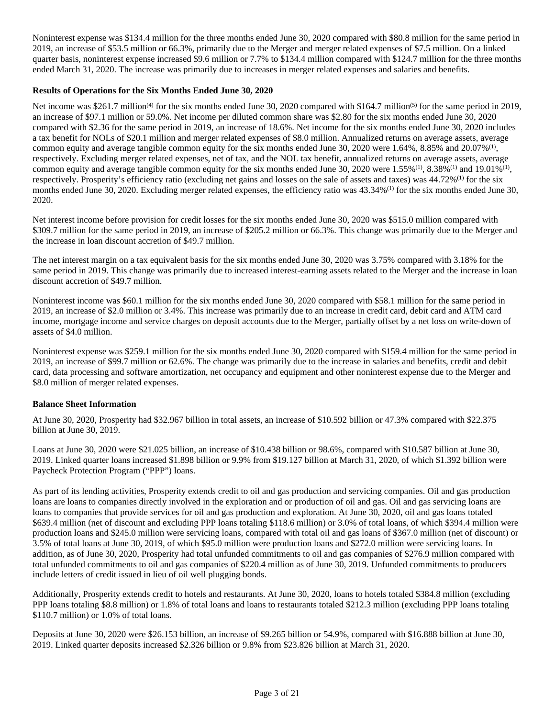Noninterest expense was \$134.4 million for the three months ended June 30, 2020 compared with \$80.8 million for the same period in 2019, an increase of \$53.5 million or 66.3%, primarily due to the Merger and merger related expenses of \$7.5 million. On a linked quarter basis, noninterest expense increased \$9.6 million or 7.7% to \$134.4 million compared with \$124.7 million for the three months ended March 31, 2020. The increase was primarily due to increases in merger related expenses and salaries and benefits.

### **Results of Operations for the Six Months Ended June 30, 2020**

Net income was \$261.7 million<sup>(4)</sup> for the six months ended June 30, 2020 compared with \$164.7 million<sup>(5)</sup> for the same period in 2019, an increase of \$97.1 million or 59.0%. Net income per diluted common share was \$2.80 for the six months ended June 30, 2020 compared with \$2.36 for the same period in 2019, an increase of 18.6%. Net income for the six months ended June 30, 2020 includes a tax benefit for NOLs of \$20.1 million and merger related expenses of \$8.0 million. Annualized returns on average assets, average common equity and average tangible common equity for the six months ended June 30, 2020 were  $1.64\%$ ,  $8.85\%$  and  $20.07\%$ <sup>(1)</sup>, respectively. Excluding merger related expenses, net of tax, and the NOL tax benefit, annualized returns on average assets, average common equity and average tangible common equity for the six months ended June 30, 2020 were  $1.55\%^{(1)}$ ,  $8.38\%^{(1)}$  and  $19.01\%^{(1)}$ , respectively. Prosperity's efficiency ratio (excluding net gains and losses on the sale of assets and taxes) was 44.72%(1) for the six months ended June 30, 2020. Excluding merger related expenses, the efficiency ratio was 43.34%(1) for the six months ended June 30, 2020.

Net interest income before provision for credit losses for the six months ended June 30, 2020 was \$515.0 million compared with \$309.7 million for the same period in 2019, an increase of \$205.2 million or 66.3%. This change was primarily due to the Merger and the increase in loan discount accretion of \$49.7 million.

The net interest margin on a tax equivalent basis for the six months ended June 30, 2020 was 3.75% compared with 3.18% for the same period in 2019. This change was primarily due to increased interest-earning assets related to the Merger and the increase in loan discount accretion of \$49.7 million.

Noninterest income was \$60.1 million for the six months ended June 30, 2020 compared with \$58.1 million for the same period in 2019, an increase of \$2.0 million or 3.4%. This increase was primarily due to an increase in credit card, debit card and ATM card income, mortgage income and service charges on deposit accounts due to the Merger, partially offset by a net loss on write-down of assets of \$4.0 million.

Noninterest expense was \$259.1 million for the six months ended June 30, 2020 compared with \$159.4 million for the same period in 2019, an increase of \$99.7 million or 62.6%. The change was primarily due to the increase in salaries and benefits, credit and debit card, data processing and software amortization, net occupancy and equipment and other noninterest expense due to the Merger and \$8.0 million of merger related expenses.

### **Balance Sheet Information**

At June 30, 2020, Prosperity had \$32.967 billion in total assets, an increase of \$10.592 billion or 47.3% compared with \$22.375 billion at June 30, 2019.

Loans at June 30, 2020 were \$21.025 billion, an increase of \$10.438 billion or 98.6%, compared with \$10.587 billion at June 30, 2019. Linked quarter loans increased \$1.898 billion or 9.9% from \$19.127 billion at March 31, 2020, of which \$1.392 billion were Paycheck Protection Program ("PPP") loans.

As part of its lending activities, Prosperity extends credit to oil and gas production and servicing companies. Oil and gas production loans are loans to companies directly involved in the exploration and or production of oil and gas. Oil and gas servicing loans are loans to companies that provide services for oil and gas production and exploration. At June 30, 2020, oil and gas loans totaled \$639.4 million (net of discount and excluding PPP loans totaling \$118.6 million) or 3.0% of total loans, of which \$394.4 million were production loans and \$245.0 million were servicing loans, compared with total oil and gas loans of \$367.0 million (net of discount) or 3.5% of total loans at June 30, 2019, of which \$95.0 million were production loans and \$272.0 million were servicing loans. In addition, as of June 30, 2020, Prosperity had total unfunded commitments to oil and gas companies of \$276.9 million compared with total unfunded commitments to oil and gas companies of \$220.4 million as of June 30, 2019. Unfunded commitments to producers include letters of credit issued in lieu of oil well plugging bonds.

Additionally, Prosperity extends credit to hotels and restaurants. At June 30, 2020, loans to hotels totaled \$384.8 million (excluding PPP loans totaling \$8.8 million) or 1.8% of total loans and loans to restaurants totaled \$212.3 million (excluding PPP loans totaling \$110.7 million) or 1.0% of total loans.

Deposits at June 30, 2020 were \$26.153 billion, an increase of \$9.265 billion or 54.9%, compared with \$16.888 billion at June 30, 2019. Linked quarter deposits increased \$2.326 billion or 9.8% from \$23.826 billion at March 31, 2020.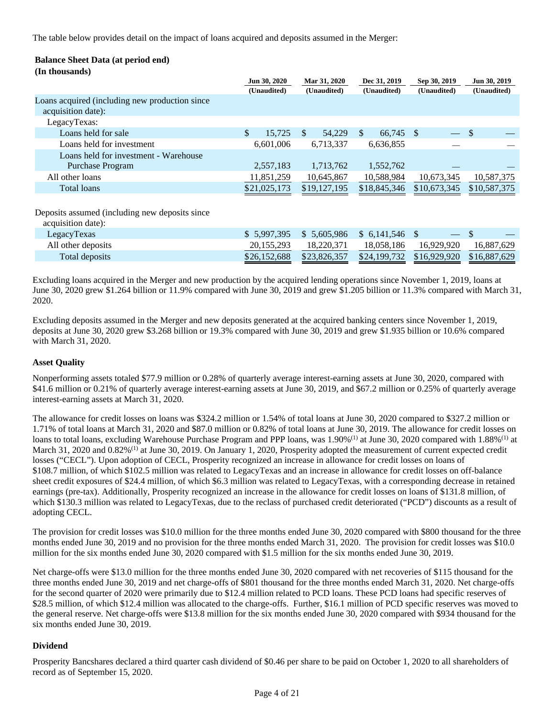The table below provides detail on the impact of loans acquired and deposits assumed in the Merger:

### **Balance Sheet Data (at period end) (In thousands)**

|                                                                       | Jun 30, 2020<br>(Unaudited) | Mar 31, 2020<br>(Unaudited) | Dec 31, 2019<br>(Unaudited) | Sep 30, 2019<br>(Unaudited) | Jun 30, 2019<br>(Unaudited) |
|-----------------------------------------------------------------------|-----------------------------|-----------------------------|-----------------------------|-----------------------------|-----------------------------|
| Loans acquired (including new production since)<br>acquisition date): |                             |                             |                             |                             |                             |
| LegacyTexas:                                                          |                             |                             |                             |                             |                             |
| Loans held for sale                                                   | \$<br>15,725                | 54,229<br><sup>\$</sup>     | <sup>\$</sup><br>66,745 \$  | $-$ \$                      |                             |
| Loans held for investment                                             | 6,601,006                   | 6,713,337                   | 6,636,855                   |                             |                             |
| Loans held for investment - Warehouse                                 |                             |                             |                             |                             |                             |
| Purchase Program                                                      | 2,557,183                   | 1,713,762                   | 1,552,762                   |                             |                             |
| All other loans                                                       | 11,851,259                  | 10,645,867                  | 10,588,984                  | 10,673,345                  | 10,587,375                  |
| <b>Total loans</b>                                                    | \$21,025,173                | \$19,127,195                | \$18,845,346                | \$10,673,345                | \$10,587,375                |
|                                                                       |                             |                             |                             |                             |                             |
| Deposits assumed (including new deposits since)<br>acquisition date): |                             |                             |                             |                             |                             |
| LegacyTexas                                                           | \$5,997,395                 | \$5,605,986                 | \$6,141,546                 | <sup>\$</sup>               | \$                          |
| All other deposits                                                    | 20, 155, 293                | 18,220,371                  | 18,058,186                  | 16,929,920                  | 16,887,629                  |
| Total deposits                                                        | \$26,152,688                | \$23,826,357                | \$24,199,732                | \$16,929,920                | \$16,887,629                |

Excluding loans acquired in the Merger and new production by the acquired lending operations since November 1, 2019, loans at June 30, 2020 grew \$1.264 billion or 11.9% compared with June 30, 2019 and grew \$1.205 billion or 11.3% compared with March 31, 2020.

Excluding deposits assumed in the Merger and new deposits generated at the acquired banking centers since November 1, 2019, deposits at June 30, 2020 grew \$3.268 billion or 19.3% compared with June 30, 2019 and grew \$1.935 billion or 10.6% compared with March 31, 2020.

### **Asset Quality**

Nonperforming assets totaled \$77.9 million or 0.28% of quarterly average interest-earning assets at June 30, 2020, compared with \$41.6 million or 0.21% of quarterly average interest-earning assets at June 30, 2019, and \$67.2 million or 0.25% of quarterly average interest-earning assets at March 31, 2020.

The allowance for credit losses on loans was \$324.2 million or 1.54% of total loans at June 30, 2020 compared to \$327.2 million or 1.71% of total loans at March 31, 2020 and \$87.0 million or 0.82% of total loans at June 30, 2019. The allowance for credit losses on loans to total loans, excluding Warehouse Purchase Program and PPP loans, was 1.90%<sup>(1)</sup> at June 30, 2020 compared with 1.88%<sup>(1)</sup> at March 31, 2020 and  $0.82\%$ <sup>(1)</sup> at June 30, 2019. On January 1, 2020, Prosperity adopted the measurement of current expected credit losses ("CECL"). Upon adoption of CECL, Prosperity recognized an increase in allowance for credit losses on loans of \$108.7 million, of which \$102.5 million was related to LegacyTexas and an increase in allowance for credit losses on off-balance sheet credit exposures of \$24.4 million, of which \$6.3 million was related to LegacyTexas, with a corresponding decrease in retained earnings (pre-tax). Additionally, Prosperity recognized an increase in the allowance for credit losses on loans of \$131.8 million, of which \$130.3 million was related to LegacyTexas, due to the reclass of purchased credit deteriorated ("PCD") discounts as a result of adopting CECL.

The provision for credit losses was \$10.0 million for the three months ended June 30, 2020 compared with \$800 thousand for the three months ended June 30, 2019 and no provision for the three months ended March 31, 2020. The provision for credit losses was \$10.0 million for the six months ended June 30, 2020 compared with \$1.5 million for the six months ended June 30, 2019.

Net charge-offs were \$13.0 million for the three months ended June 30, 2020 compared with net recoveries of \$115 thousand for the three months ended June 30, 2019 and net charge-offs of \$801 thousand for the three months ended March 31, 2020. Net charge-offs for the second quarter of 2020 were primarily due to \$12.4 million related to PCD loans. These PCD loans had specific reserves of \$28.5 million, of which \$12.4 million was allocated to the charge-offs. Further, \$16.1 million of PCD specific reserves was moved to the general reserve. Net charge-offs were \$13.8 million for the six months ended June 30, 2020 compared with \$934 thousand for the six months ended June 30, 2019.

# **Dividend**

Prosperity Bancshares declared a third quarter cash dividend of \$0.46 per share to be paid on October 1, 2020 to all shareholders of record as of September 15, 2020.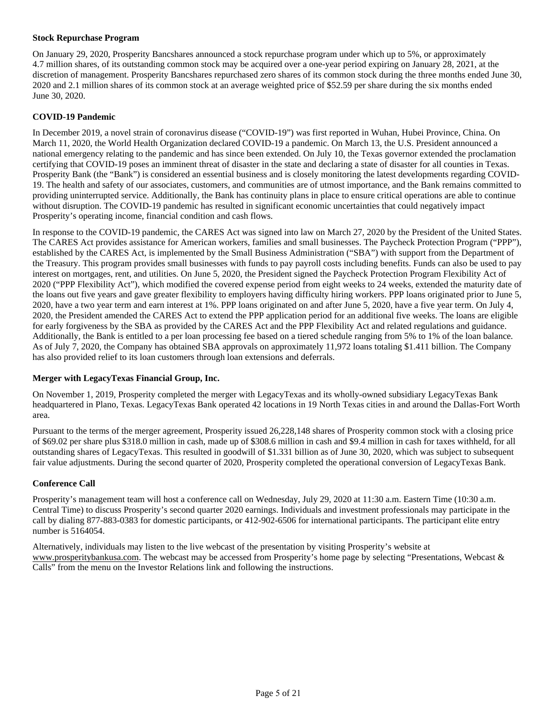### **Stock Repurchase Program**

On January 29, 2020, Prosperity Bancshares announced a stock repurchase program under which up to 5%, or approximately 4.7 million shares, of its outstanding common stock may be acquired over a one-year period expiring on January 28, 2021, at the discretion of management. Prosperity Bancshares repurchased zero shares of its common stock during the three months ended June 30, 2020 and 2.1 million shares of its common stock at an average weighted price of \$52.59 per share during the six months ended June 30, 2020.

### **COVID-19 Pandemic**

In December 2019, a novel strain of coronavirus disease ("COVID-19") was first reported in Wuhan, Hubei Province, China. On March 11, 2020, the World Health Organization declared COVID-19 a pandemic. On March 13, the U.S. President announced a national emergency relating to the pandemic and has since been extended. On July 10, the Texas governor extended the proclamation certifying that COVID-19 poses an imminent threat of disaster in the state and declaring a state of disaster for all counties in Texas. Prosperity Bank (the "Bank") is considered an essential business and is closely monitoring the latest developments regarding COVID-19. The health and safety of our associates, customers, and communities are of utmost importance, and the Bank remains committed to providing uninterrupted service. Additionally, the Bank has continuity plans in place to ensure critical operations are able to continue without disruption. The COVID-19 pandemic has resulted in significant economic uncertainties that could negatively impact Prosperity's operating income, financial condition and cash flows.

In response to the COVID-19 pandemic, the CARES Act was signed into law on March 27, 2020 by the President of the United States. The CARES Act provides assistance for American workers, families and small businesses. The Paycheck Protection Program ("PPP"), established by the CARES Act, is implemented by the Small Business Administration ("SBA") with support from the Department of the Treasury. This program provides small businesses with funds to pay payroll costs including benefits. Funds can also be used to pay interest on mortgages, rent, and utilities. On June 5, 2020, the President signed the Paycheck Protection Program Flexibility Act of 2020 ("PPP Flexibility Act"), which modified the covered expense period from eight weeks to 24 weeks, extended the maturity date of the loans out five years and gave greater flexibility to employers having difficulty hiring workers. PPP loans originated prior to June 5, 2020, have a two year term and earn interest at 1%. PPP loans originated on and after June 5, 2020, have a five year term. On July 4, 2020, the President amended the CARES Act to extend the PPP application period for an additional five weeks. The loans are eligible for early forgiveness by the SBA as provided by the CARES Act and the PPP Flexibility Act and related regulations and guidance. Additionally, the Bank is entitled to a per loan processing fee based on a tiered schedule ranging from 5% to 1% of the loan balance*.* As of July 7, 2020, the Company has obtained SBA approvals on approximately 11,972 loans totaling \$1.411 billion. The Company has also provided relief to its loan customers through loan extensions and deferrals.

### **Merger with LegacyTexas Financial Group, Inc.**

On November 1, 2019, Prosperity completed the merger with LegacyTexas and its wholly-owned subsidiary LegacyTexas Bank headquartered in Plano, Texas. LegacyTexas Bank operated 42 locations in 19 North Texas cities in and around the Dallas-Fort Worth area.

Pursuant to the terms of the merger agreement, Prosperity issued 26,228,148 shares of Prosperity common stock with a closing price of \$69.02 per share plus \$318.0 million in cash, made up of \$308.6 million in cash and \$9.4 million in cash for taxes withheld, for all outstanding shares of LegacyTexas. This resulted in goodwill of \$1.331 billion as of June 30, 2020, which was subject to subsequent fair value adjustments. During the second quarter of 2020, Prosperity completed the operational conversion of LegacyTexas Bank.

# **Conference Call**

Prosperity's management team will host a conference call on Wednesday, July 29, 2020 at 11:30 a.m. Eastern Time (10:30 a.m. Central Time) to discuss Prosperity's second quarter 2020 earnings. Individuals and investment professionals may participate in the call by dialing 877-883-0383 for domestic participants, or 412-902-6506 for international participants. The participant elite entry number is 5164054.

Alternatively, individuals may listen to the live webcast of the presentation by visiting Prosperity's website at www.prosperitybankusa.com. The webcast may be accessed from Prosperity's home page by selecting "Presentations, Webcast & Calls" from the menu on the Investor Relations link and following the instructions.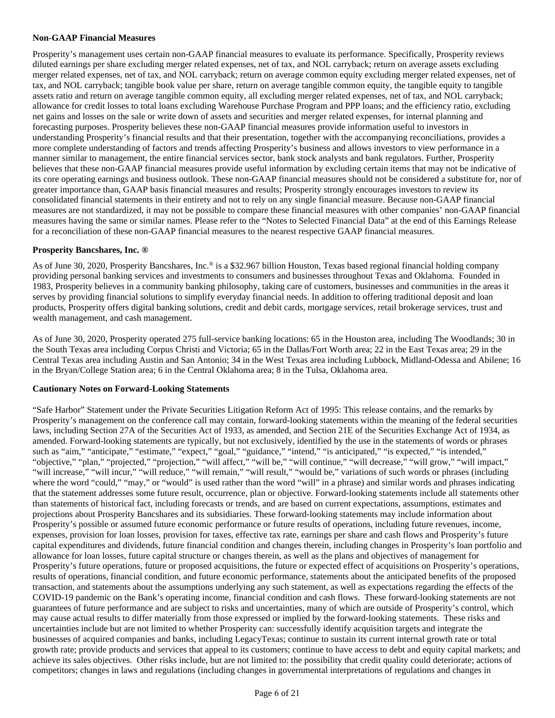### **Non-GAAP Financial Measures**

Prosperity's management uses certain non-GAAP financial measures to evaluate its performance. Specifically, Prosperity reviews diluted earnings per share excluding merger related expenses, net of tax, and NOL carryback; return on average assets excluding merger related expenses, net of tax, and NOL carryback; return on average common equity excluding merger related expenses, net of tax, and NOL carryback; tangible book value per share, return on average tangible common equity, the tangible equity to tangible assets ratio and return on average tangible common equity, all excluding merger related expenses, net of tax, and NOL carryback; allowance for credit losses to total loans excluding Warehouse Purchase Program and PPP loans; and the efficiency ratio, excluding net gains and losses on the sale or write down of assets and securities and merger related expenses, for internal planning and forecasting purposes. Prosperity believes these non-GAAP financial measures provide information useful to investors in understanding Prosperity's financial results and that their presentation, together with the accompanying reconciliations, provides a more complete understanding of factors and trends affecting Prosperity's business and allows investors to view performance in a manner similar to management, the entire financial services sector, bank stock analysts and bank regulators. Further, Prosperity believes that these non-GAAP financial measures provide useful information by excluding certain items that may not be indicative of its core operating earnings and business outlook. These non-GAAP financial measures should not be considered a substitute for, nor of greater importance than, GAAP basis financial measures and results; Prosperity strongly encourages investors to review its consolidated financial statements in their entirety and not to rely on any single financial measure. Because non-GAAP financial measures are not standardized, it may not be possible to compare these financial measures with other companies' non-GAAP financial measures having the same or similar names. Please refer to the "Notes to Selected Financial Data" at the end of this Earnings Release for a reconciliation of these non-GAAP financial measures to the nearest respective GAAP financial measures.

### **Prosperity Bancshares, Inc. ®**

As of June 30, 2020, Prosperity Bancshares, Inc.® is a \$32.967 billion Houston, Texas based regional financial holding company providing personal banking services and investments to consumers and businesses throughout Texas and Oklahoma. Founded in 1983, Prosperity believes in a community banking philosophy, taking care of customers, businesses and communities in the areas it serves by providing financial solutions to simplify everyday financial needs. In addition to offering traditional deposit and loan products, Prosperity offers digital banking solutions, credit and debit cards, mortgage services, retail brokerage services, trust and wealth management, and cash management.

As of June 30, 2020, Prosperity operated 275 full-service banking locations: 65 in the Houston area, including The Woodlands; 30 in the South Texas area including Corpus Christi and Victoria; 65 in the Dallas/Fort Worth area; 22 in the East Texas area; 29 in the Central Texas area including Austin and San Antonio; 34 in the West Texas area including Lubbock, Midland-Odessa and Abilene; 16 in the Bryan/College Station area; 6 in the Central Oklahoma area; 8 in the Tulsa, Oklahoma area.

### **Cautionary Notes on Forward-Looking Statements**

"Safe Harbor" Statement under the Private Securities Litigation Reform Act of 1995: This release contains, and the remarks by Prosperity's management on the conference call may contain, forward-looking statements within the meaning of the federal securities laws, including Section 27A of the Securities Act of 1933, as amended, and Section 21E of the Securities Exchange Act of 1934, as amended. Forward-looking statements are typically, but not exclusively, identified by the use in the statements of words or phrases such as "aim," "anticipate," "estimate," "expect," "goal," "guidance," "intend," "is anticipated," "is expected," "is intended," "objective," "plan," "projected," "projection," "will affect," "will be," "will continue," "will decrease," "will grow," "will impact," "will increase," "will incur," "will reduce," "will remain," "will result," "would be," variations of such words or phrases (including where the word "could," "may," or "would" is used rather than the word "will" in a phrase) and similar words and phrases indicating that the statement addresses some future result, occurrence, plan or objective. Forward-looking statements include all statements other than statements of historical fact, including forecasts or trends, and are based on current expectations, assumptions, estimates and projections about Prosperity Bancshares and its subsidiaries. These forward-looking statements may include information about Prosperity's possible or assumed future economic performance or future results of operations, including future revenues, income, expenses, provision for loan losses, provision for taxes, effective tax rate, earnings per share and cash flows and Prosperity's future capital expenditures and dividends, future financial condition and changes therein, including changes in Prosperity's loan portfolio and allowance for loan losses, future capital structure or changes therein, as well as the plans and objectives of management for Prosperity's future operations, future or proposed acquisitions, the future or expected effect of acquisitions on Prosperity's operations, results of operations, financial condition, and future economic performance, statements about the anticipated benefits of the proposed transaction, and statements about the assumptions underlying any such statement, as well as expectations regarding the effects of the COVID-19 pandemic on the Bank's operating income, financial condition and cash flows. These forward-looking statements are not guarantees of future performance and are subject to risks and uncertainties, many of which are outside of Prosperity's control, which may cause actual results to differ materially from those expressed or implied by the forward-looking statements. These risks and uncertainties include but are not limited to whether Prosperity can: successfully identify acquisition targets and integrate the businesses of acquired companies and banks, including LegacyTexas; continue to sustain its current internal growth rate or total growth rate; provide products and services that appeal to its customers; continue to have access to debt and equity capital markets; and achieve its sales objectives. Other risks include, but are not limited to: the possibility that credit quality could deteriorate; actions of competitors; changes in laws and regulations (including changes in governmental interpretations of regulations and changes in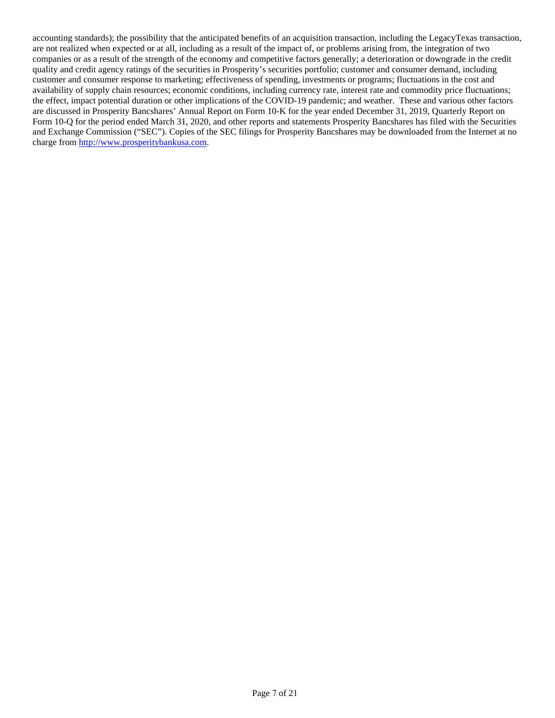accounting standards); the possibility that the anticipated benefits of an acquisition transaction, including the LegacyTexas transaction, are not realized when expected or at all, including as a result of the impact of, or problems arising from, the integration of two companies or as a result of the strength of the economy and competitive factors generally; a deterioration or downgrade in the credit quality and credit agency ratings of the securities in Prosperity's securities portfolio; customer and consumer demand, including customer and consumer response to marketing; effectiveness of spending, investments or programs; fluctuations in the cost and availability of supply chain resources; economic conditions, including currency rate, interest rate and commodity price fluctuations; the effect, impact potential duration or other implications of the COVID-19 pandemic; and weather. These and various other factors are discussed in Prosperity Bancshares' Annual Report on Form 10-K for the year ended December 31, 2019, Quarterly Report on Form 10-Q for the period ended March 31, 2020, and other reports and statements Prosperity Bancshares has filed with the Securities and Exchange Commission ("SEC"). Copies of the SEC filings for Prosperity Bancshares may be downloaded from the Internet at no charge from [http://www.prosperitybankusa.com](http://www.prosperitybankusa.com/).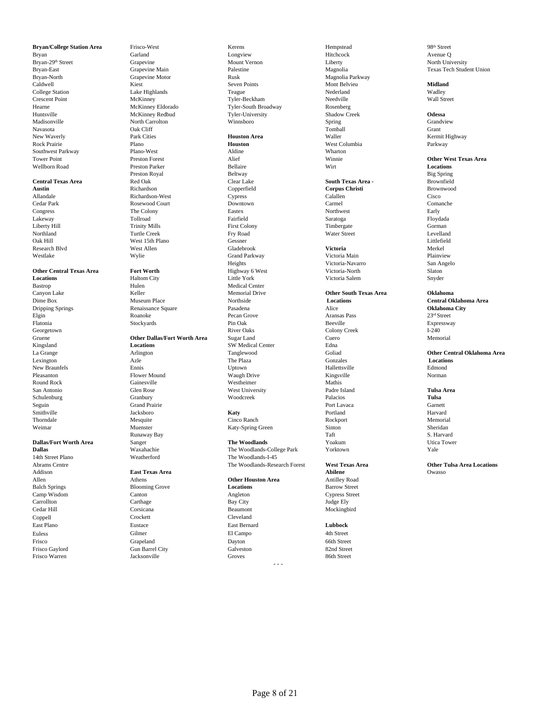Southwest Parkway Plano-West Aldine Mharton Wharton Preston Forest Alief Ninnie

Smithville Jacksboro **Katy** Portland Harvard Thorndale Same Mesquite Rockport Cinco Ranch Rockport Rockport Memorial

# **Dallas/Fort Worth Area** Sanger **Dallas** Waxahachie

Addison **East Texas Area Abilene** Owasso Allen Athens **Other Houston Area** Antilley Road Camp Wisdom Canton Canton Canton Angleton Cypress Street<br>Carrollton Carrollton Carrollton Carrollton Carrollton Carrollton Carrollton Carrollton Carrollton Cypress Street Carrollton Carthage Carrollton Carrollton Carrollton Carrollton Carrollton Carrollton Carrollton Carrollton Carrollton Carrollton Carrollton Carrollton Carrollton Carrollton Carrollton Carrollton Carrollton Carrollton Carr Cedar Hill Corsicana Beaumont Mockingbird Coppell Crockett Cleveland East Plano Eustace East Bernard **Lubbock** Euless Gilmer El Campo 4th Street Frisco Grapeland Dayton 66th Street Frisco Gaylord Gun Barrel City Galveston Barrel Schutz Gaylord 82nd Street<br>Frisco Warren Backsonville Groves Groves 86th Street Frisco Warren Jacksonville Groves 86th Street

Navasota Oak Cliff Tomball Grant New Waverly **Park Cities** Park Cities **Houston Area** Waller Waller **Waller Kermit Highway** Rock Prairie **Rock Prairie Rock Plano** Plano **Houston Houston** West Columbia Parkway Wellborn Road Preston Parker Bellaire Wirt **Locations** Preston Royal Beltway Big Spring **Central Texas Area** Red Oak Clear Lake **South Texas Area -** Brownfield **Austin** Richardson Copperfield **Corpus Christi** Brownwood Allandale Richardson-West Cypress Calallen Cisco Cedar Park Rosewood Court Downtown Carmel Comanche Congress and The Colony Eastex Early Eastex Northwest Early Early Early Early Early Early Early Early Early E Lakeway Tollroad Fairfield Saratoga Floydada Liberty Hill Trinity Mills First Colony Timbergate Gorman Northland **Turtle Creek** Fry Road Water Street Levelland Levelland Oak Hill West 15th Plano Gessner Littlefield Research Blvd West Allen Gladebrook **Victoria** Merkel

Bastrop Medical Center Medical Center Canyon Lake Medical Center Medical Center Medical Center Memorial Drive **Dripping Springs City** Renaissance Square Pasadena Pasadena Alice Alice Alice **Oklahoma City**<br>
Recan Grove Aransas Pass 23<sup>rd</sup> Street Elgin **Elgin** Roanoke Roanoke Pecan Grove Aransas Pass 23<sup>rd</sup> Street Flatonia Stockyards Pin Oak Beeville Expressway

Runaway Bay Taft S. Harvard

**Blooming Grove** 

**Bryan/College Station Area** Frisco-West Kerens Kerens Hempstead Hempstead 98<sup>th</sup> Street 98<sup>th</sup> Street Garland Street Engyiew Hitchcock Avenue Q Bryan Garland Garland Longview Hitchcock Hitchcock Avenue Q Bryan-29<sup>th</sup> Street **Street** Grapevine Grapevine Mount Vernon Liberty **Liberty** Mount Vernon Liberty Bryan-East Crapevine Main Palestine Palestine Magnolia Magnolia Texas Tech Student Union<br>Bryan-North Grapevine Motor Rusk Rusk Magnolia Parkway Bryan-North Grapevine Motor Rusk Magnolia Parkway Caldwell (2011)<br>Caldwell Caldwell (2012)<br>Caldwell (2012) Caldwell **Sexual Caldwell** Caldwell **Mont Belvieu Midland** Mont Belvieu **Midland** Mont Belvieu **Midland** College Station **Station** Calculate Highlands Teague **Teague Station College Station** Wadley Crescent Point **McKinney** McKinney Tyler-Beckham Needville Needville Wall Street Hearne McKinney Eldorado Tyler-South Broadway Rosenberg<br>
Huntsville McKinney Redbud Tyler-University Shadow Creek Huntsville McKinney Redbud Tyler-University Shadow Creek **Odessa** Madisonville North Carrolton Winnsboro Spring Grandview

Westlake Wylie Grand Parkway Victoria Main Plainview Heights Victoria-Navarro San Angelo **Other Central Texas Area <b>Fort Worth Fort Worth** Highway 6 West Victoria-North Slaton Slaton Shaton City **Fort Worth** Slaton City **Example 2** United York Victoria Salem Shyder **Locations Example 3** Haltom City **Little York Little York** Victoria Salem Snyder Georgetown River Oaks Colony Creek I-240 Gruene **Other Dallas/Fort Worth Area** Sugar Land Cuero Cuero Memorial Memorial Cuero Memorial Cuero Memorial Cuero Memorial Cuero Memorial Cuero Memorial SW Medical Center Edna **Memorial** SW Medical Center Edna **Memorial Kingsland Locations Locations** SW Medical Center Edna Edna <br> **La Grange Colliad** Lexington **Contract Constant Azle** Constant The Plaza **Constant Constant Constant Constant Constant Constant Constant Constant Constant Constant Constant Constant Constant Constant Constant Constant Constant Constant Const** New Braunfels Ennis Uptown Hallettsville Edmond Pleasanton Flower Mound Waugh Drive Kingsville Kingsville Norman Round Rock Gainesville **Gainesville** Westheimer Westheimer Mathis San Antonio Glen Rose West University Padre Island **Tulsa Area** Schulenburg Granbury Woodcreek Palacios **Tulsa** Seguin Grand Prairie Port Lavaca Garnett

Weimar Muenster Muenster Katy-Spring Green Sinton Sheridan Sheridan

**Dallas** Waxahachie The Woodlands-College Park Yorktown Yale 14th Street Plano Weatherford The Woodlands-I-45

# Canyon Lake **The Canyon Lake Canyon Lake Canyon Lake Canyon Lake Canyon Lake Canyon Lake Canyon Lake Canyon Lake Canyon Lake Canyon Lake Canyon Lake Canyon Lake Canyon Lake Canyon Lake Canyon Lake Canyon Lake Canyon Lake C**

### Tower Point **Prestice Prestice Prestice Alief** Alief **Alief** Winnie **Community Community Community Community Community Community Community Community Community Community Prestice Present**

Dime Box Museum Place Northside **Locations Central Oklahoma Area**

La Grange Arlington Tanglewood Goliad **Other Central Oklahoma Area**

Abrams Centre **Other Tulsa Area Locations**<br>Addison **Centre Centre East Texas Area Centre Centre Centre Centre Centre Centre Centre Centre Centre Centre Centre Centre Centre Centre Centre Centre Centre Centre Centre Centr** 

- - -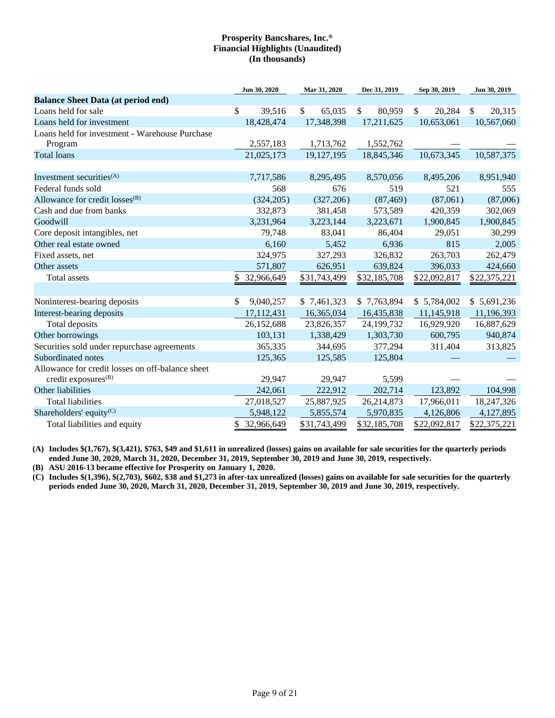|                                                  | Jun 30, 2020    | Mar 31, 2020 | Dec 31, 2019 | Sep 30, 2019           | Jun 30, 2019 |
|--------------------------------------------------|-----------------|--------------|--------------|------------------------|--------------|
| <b>Balance Sheet Data (at period end)</b>        |                 |              |              |                        |              |
| Loans held for sale                              | \$<br>39,516    | \$<br>65,035 | \$<br>80,959 | $\mathbb{S}$<br>20,284 | \$<br>20,315 |
| Loans held for investment                        | 18,428,474      | 17,348,398   | 17,211,625   | 10,653,061             | 10,567,060   |
| Loans held for investment - Warehouse Purchase   |                 |              |              |                        |              |
| Program                                          | 2,557,183       | 1,713,762    | 1,552,762    |                        |              |
| <b>Total loans</b>                               | 21,025,173      | 19,127,195   | 18,845,346   | 10,673,345             | 10,587,375   |
|                                                  |                 |              |              |                        |              |
| Investment securities <sup>(A)</sup>             | 7,717,586       | 8,295,495    | 8,570,056    | 8,495,206              | 8,951,940    |
| Federal funds sold                               | 568             | 676          | 519          | 521                    | 555          |
| Allowance for credit $losses^{(B)}$              | (324, 205)      | (327, 206)   | (87, 469)    | (87,061)               | (87,006)     |
| Cash and due from banks                          | 332,873         | 381,458      | 573,589      | 420,359                | 302,069      |
| Goodwill                                         | 3,231,964       | 3,223,144    | 3,223,671    | 1,900,845              | 1,900,845    |
| Core deposit intangibles, net                    | 79,748          | 83,041       | 86,404       | 29,051                 | 30,299       |
| Other real estate owned                          | 6,160           | 5,452        | 6,936        | 815                    | 2,005        |
| Fixed assets, net                                | 324,975         | 327,293      | 326,832      | 263,703                | 262,479      |
| Other assets                                     | 571,807         | 626,951      | 639,824      | 396,033                | 424,660      |
| Total assets                                     | 32,966,649      | \$31,743,499 | \$32,185,708 | \$22,092,817           | \$22,375,221 |
|                                                  |                 |              |              |                        |              |
| Noninterest-bearing deposits                     | \$<br>9,040,257 | \$7,461,323  | \$7,763,894  | \$5,784,002            | \$5,691,236  |
| Interest-bearing deposits                        | 17,112,431      | 16,365,034   | 16,435,838   | 11,145,918             | 11,196,393   |
| Total deposits                                   | 26,152,688      | 23,826,357   | 24,199,732   | 16,929,920             | 16,887,629   |
| Other borrowings                                 | 103,131         | 1,338,429    | 1,303,730    | 600,795                | 940,874      |
| Securities sold under repurchase agreements      | 365,335         | 344,695      | 377,294      | 311,404                | 313,825      |
| Subordinated notes                               | 125,365         | 125,585      | 125,804      |                        |              |
| Allowance for credit losses on off-balance sheet |                 |              |              |                        |              |
| credit exposures <sup>(B)</sup>                  | 29.947          | 29,947       | 5,599        |                        |              |
| Other liabilities                                | 242,061         | 222,912      | 202,714      | 123,892                | 104,998      |
| <b>Total liabilities</b>                         | 27,018,527      | 25,887,925   | 26,214,873   | 17,966,011             | 18,247,326   |
| Shareholders' equity <sup>(C)</sup>              | 5,948,122       | 5,855,574    | 5,970,835    | 4,126,806              | 4,127,895    |
| Total liabilities and equity                     | \$ 32,966,649   | \$31,743,499 | \$32,185,708 | \$22,092,817           | \$22,375,221 |

**(A) Includes \$(1,767), \$(3,421), \$763, \$49 and \$1,611 in unrealized (losses) gains on available for sale securities for the quarterly periods ended June 30, 2020, March 31, 2020, December 31, 2019, September 30, 2019 and June 30, 2019, respectively.**

**(B) ASU 2016-13 became effective for Prosperity on January 1, 2020.**

**(C) Includes \$(1,396), \$(2,703), \$602, \$38 and \$1,273 in after-tax unrealized (losses) gains on available for sale securities for the quarterly periods ended June 30, 2020, March 31, 2020, December 31, 2019, September 30, 2019 and June 30, 2019, respectively.**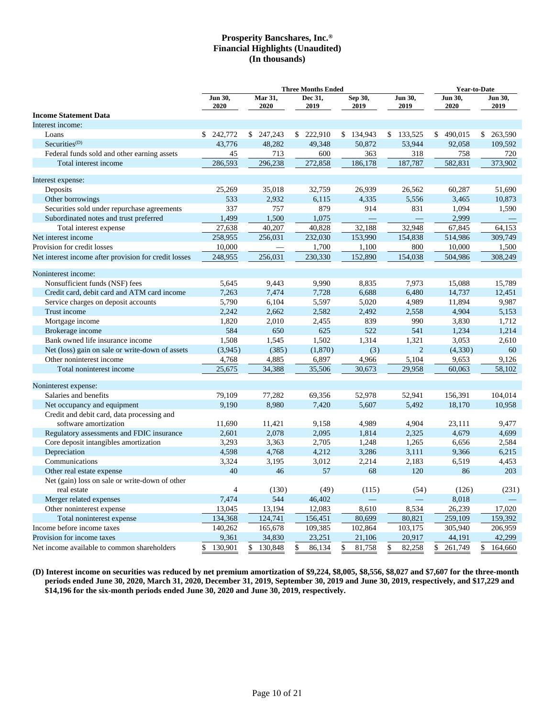|                                                       |                 | <b>Three Months Ended</b> | <b>Year-to-Date</b> |                 |                 |                 |                 |
|-------------------------------------------------------|-----------------|---------------------------|---------------------|-----------------|-----------------|-----------------|-----------------|
|                                                       | Jun 30,<br>2020 | Mar 31,<br>2020           | Dec 31,<br>2019     | Sep 30,<br>2019 | Jun 30,<br>2019 | Jun 30,<br>2020 | Jun 30,<br>2019 |
| <b>Income Statement Data</b>                          |                 |                           |                     |                 |                 |                 |                 |
| Interest income:                                      |                 |                           |                     |                 |                 |                 |                 |
| Loans                                                 | \$ 242,772      | \$247,243                 | \$222,910           | \$134,943       | \$133,525       | \$490,015       | \$ 263,590      |
| $Securities^{(D)}$                                    | 43,776          | 48,282                    | 49,348              | 50,872          | 53,944          | 92,058          | 109,592         |
| Federal funds sold and other earning assets           | 45              | 713                       | 600                 | 363             | 318             | 758             | 720             |
| Total interest income                                 | 286,593         | 296,238                   | 272,858             | 186,178         | 187,787         | 582,831         | 373,902         |
| Interest expense:                                     |                 |                           |                     |                 |                 |                 |                 |
| Deposits                                              | 25,269          | 35,018                    | 32,759              | 26,939          | 26,562          | 60,287          | 51,690          |
| Other borrowings                                      | 533             | 2,932                     | 6,115               | 4,335           | 5,556           | 3,465           | 10,873          |
| Securities sold under repurchase agreements           | 337             | 757                       | 879                 | 914             | 831             | 1,094           | 1,590           |
| Subordinated notes and trust preferred                | 1,499           | 1,500                     | 1,075               |                 |                 | 2,999           |                 |
| Total interest expense                                | 27,638          | 40,207                    | 40,828              | 32,188          | 32,948          | 67,845          | 64,153          |
| Net interest income                                   | 258,955         | 256,031                   | 232,030             | 153,990         | 154,838         | 514,986         | 309,749         |
| Provision for credit losses                           | 10,000          |                           | 1,700               | 1,100           | 800             | 10,000          | 1,500           |
| Net interest income after provision for credit losses | 248,955         | 256,031                   | 230,330             | 152,890         | 154,038         | 504,986         | 308,249         |
| Noninterest income:                                   |                 |                           |                     |                 |                 |                 |                 |
| Nonsufficient funds (NSF) fees                        | 5,645           | 9,443                     | 9,990               | 8,835           | 7,973           | 15,088          | 15,789          |
| Credit card, debit card and ATM card income           | 7,263           | 7,474                     | 7,728               | 6,688           | 6,480           | 14,737          | 12,451          |
| Service charges on deposit accounts                   | 5,790           | 6,104                     | 5,597               | 5,020           | 4,989           | 11,894          | 9,987           |
| Trust income                                          | 2,242           | 2,662                     | 2,582               | 2,492           | 2,558           | 4,904           | 5,153           |
| Mortgage income                                       | 1,820           | 2,010                     | 2,455               | 839             | 990             | 3,830           | 1.712           |
| Brokerage income                                      | 584             | 650                       | 625                 | 522             | 541             | 1,234           | 1,214           |
| Bank owned life insurance income                      | 1,508           | 1,545                     | 1,502               | 1,314           | 1,321           | 3,053           | 2,610           |
| Net (loss) gain on sale or write-down of assets       | (3,945)         | (385)                     | (1,870)             | (3)             | $\overline{2}$  | (4, 330)        | 60              |
| Other noninterest income                              | 4,768           | 4,885                     | 6,897               | 4,966           | 5,104           | 9,653           | 9,126           |
| Total noninterest income                              | 25,675          | 34,388                    | 35,506              | 30,673          | 29,958          | 60,063          | 58,102          |
| Noninterest expense:                                  |                 |                           |                     |                 |                 |                 |                 |
| Salaries and benefits                                 | 79,109          | 77,282                    | 69,356              | 52,978          | 52,941          | 156,391         | 104,014         |
| Net occupancy and equipment                           | 9,190           | 8,980                     | 7,420               | 5,607           | 5,492           | 18,170          | 10,958          |
| Credit and debit card, data processing and            |                 |                           |                     |                 |                 |                 |                 |
| software amortization                                 | 11,690          | 11,421                    | 9,158               | 4,989           | 4,904           | 23,111          | 9,477           |
| Regulatory assessments and FDIC insurance             | 2,601           | 2,078                     | 2,095               | 1,814           | 2,325           | 4,679           | 4,699           |
| Core deposit intangibles amortization                 | 3,293           | 3,363                     | 2,705               | 1,248           | 1,265           | 6,656           | 2,584           |
| Depreciation                                          | 4,598           | 4,768                     | 4,212               | 3,286           | 3,111           | 9,366           | 6,215           |
| Communications                                        | 3,324           | 3,195                     | 3,012               | 2,214           | 2,183           | 6,519           | 4,453           |
| Other real estate expense                             | 40              | 46                        | 57                  | 68              | 120             | 86              | 203             |
| Net (gain) loss on sale or write-down of other        |                 |                           |                     |                 |                 |                 |                 |
| real estate                                           | $\overline{4}$  | (130)                     | (49)                | (115)           | (54)            | (126)           | (231)           |
| Merger related expenses                               | 7,474           | 544                       | 46,402              |                 |                 | 8,018           |                 |
| Other noninterest expense                             | 13,045          | 13,194                    | 12,083              | 8,610           | 8,534           | 26,239          | 17,020          |
| Total noninterest expense                             | 134,368         | 124,741                   | 156,451             | 80,699          | 80,821          | 259,109         | 159,392         |
| Income before income taxes                            | 140,262         | 165,678                   | 109,385             | 102,864         | 103,175         | 305,940         | 206,959         |
| Provision for income taxes                            | 9,361           | 34,830                    | 23,251              | 21,106          | 20,917          | 44,191          | 42,299          |
| Net income available to common shareholders           | \$<br>130,901   | \$<br>130,848             | \$<br>86,134        | 81,758<br>\$    | \$<br>82,258    | 261,749<br>\$   | \$<br>164,660   |

**(D) Interest income on securities was reduced by net premium amortization of \$9,224, \$8,005, \$8,556, \$8,027 and \$7,607 for the three-month periods ended June 30, 2020, March 31, 2020, December 31, 2019, September 30, 2019 and June 30, 2019, respectively, and \$17,229 and \$14,196 for the six-month periods ended June 30, 2020 and June 30, 2019, respectively.**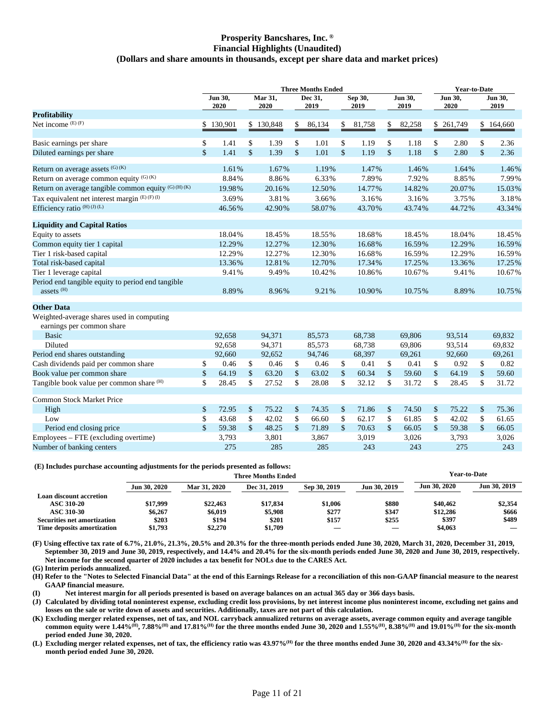### **Prosperity Bancshares, Inc. ® Financial Highlights (Unaudited) (Dollars and share amounts in thousands, except per share data and market prices)**

|                                                                            | <b>Three Months Ended</b> |                 |                      |                 |               |                 |               |                 | <b>Year-to-Date</b> |                 |                    |           |                    |           |
|----------------------------------------------------------------------------|---------------------------|-----------------|----------------------|-----------------|---------------|-----------------|---------------|-----------------|---------------------|-----------------|--------------------|-----------|--------------------|-----------|
|                                                                            |                           | Jun 30,<br>2020 |                      | Mar 31,<br>2020 |               | Dec 31,<br>2019 |               | Sep 30,<br>2019 |                     | Jun 30,<br>2019 | Jun 30,<br>2020    |           | Jun 30,<br>2019    |           |
| <b>Profitability</b>                                                       |                           |                 |                      |                 |               |                 |               |                 |                     |                 |                    |           |                    |           |
| Net income $(E)$ $(F)$                                                     |                           | \$130,901       |                      | \$130,848       | \$            | 86,134          | \$            | 81,758          | \$                  | 82,258          |                    | \$261,749 |                    | \$164,660 |
| Basic earnings per share                                                   | \$                        | 1.41            | \$                   | 1.39            | \$            | 1.01            | \$            | 1.19            | \$                  | 1.18            | \$                 | 2.80      | \$                 | 2.36      |
| Diluted earnings per share                                                 | $\mathbf{\$}$             | 1.41            | $\mathbf{\hat{S}}$   | 1.39            | \$            | 1.01            | $\mathsf{\$}$ | 1.19            | \$                  | 1.18            | $\mathsf{\$}$      | 2.80      | $\mathbf{\hat{S}}$ | 2.36      |
| Return on average assets (G) (K)                                           |                           | 1.61%           |                      | 1.67%           |               | 1.19%           |               | 1.47%           |                     | 1.46%           |                    | 1.64%     |                    | 1.46%     |
| Return on average common equity (G) (K)                                    |                           | 8.84%           |                      | 8.86%           |               | 6.33%           |               | 7.89%           |                     | 7.92%           |                    | 8.85%     |                    | 7.99%     |
| Return on average tangible common equity (G) (H) (K)                       |                           | 19.98%          |                      | 20.16%          |               | 12.50%          |               | 14.77%          |                     | 14.82%          |                    | 20.07%    |                    | 15.03%    |
| Tax equivalent net interest margin (E) (F) (I)                             |                           | 3.69%           |                      | 3.81%           |               | 3.66%           |               | 3.16%           |                     | 3.16%           |                    | 3.75%     |                    | 3.18%     |
| Efficiency ratio $(H)$ (I) (L)                                             |                           | 46.56%          |                      | 42.90%          |               | 58.07%          |               | 43.70%          |                     | 43.74%          |                    | 44.72%    |                    | 43.34%    |
| <b>Liquidity and Capital Ratios</b>                                        |                           |                 |                      |                 |               |                 |               |                 |                     |                 |                    |           |                    |           |
| Equity to assets                                                           |                           | 18.04%          |                      | 18.45%          |               | 18.55%          |               | 18.68%          |                     | 18.45%          |                    | 18.04%    |                    | 18.45%    |
| Common equity tier 1 capital                                               |                           | 12.29%          |                      | 12.27%          |               | 12.30%          |               | 16.68%          |                     | 16.59%          |                    | 12.29%    |                    | 16.59%    |
| Tier 1 risk-based capital                                                  |                           | 12.29%          |                      | 12.27%          |               | 12.30%          |               | 16.68%          |                     | 16.59%          |                    | 12.29%    |                    | 16.59%    |
| Total risk-based capital                                                   |                           | 13.36%          |                      | 12.81%          |               | 12.70%          |               | 17.34%          |                     | 17.25%          |                    | 13.36%    |                    | 17.25%    |
| Tier 1 leverage capital                                                    |                           | 9.41%           |                      | 9.49%           |               | 10.42%          |               | 10.86%          |                     | 10.67%          |                    | 9.41%     |                    | 10.67%    |
| Period end tangible equity to period end tangible<br>assets <sup>(H)</sup> |                           | 8.89%           |                      | 8.96%           |               | 9.21%           |               | 10.90%          |                     | 10.75%          |                    | 8.89%     |                    | 10.75%    |
| <b>Other Data</b>                                                          |                           |                 |                      |                 |               |                 |               |                 |                     |                 |                    |           |                    |           |
| Weighted-average shares used in computing<br>earnings per common share     |                           |                 |                      |                 |               |                 |               |                 |                     |                 |                    |           |                    |           |
| <b>Basic</b>                                                               |                           | 92,658          |                      | 94,371          |               | 85,573          |               | 68,738          |                     | 69,806          |                    | 93,514    |                    | 69,832    |
| Diluted                                                                    |                           | 92,658          |                      | 94,371          |               | 85,573          |               | 68,738          |                     | 69,806          |                    | 93,514    |                    | 69,832    |
| Period end shares outstanding                                              |                           | 92,660          |                      | 92,652          |               | 94,746          |               | 68,397          |                     | 69,261          |                    | 92,660    |                    | 69,261    |
| Cash dividends paid per common share                                       | \$                        | 0.46            | \$                   | 0.46            | \$            | 0.46            | \$            | 0.41            | \$                  | 0.41            | \$                 | 0.92      | \$                 | 0.82      |
| Book value per common share                                                | \$                        | 64.19           | $\sqrt{\frac{2}{5}}$ | 63.20           | \$            | 63.02           | \$            | 60.34           | \$                  | 59.60           | \$                 | 64.19     | \$                 | 59.60     |
| Tangible book value per common share <sup>(H)</sup>                        | \$                        | 28.45           | \$                   | 27.52           | \$            | 28.08           | \$            | 32.12           | \$                  | 31.72           | \$                 | 28.45     | \$                 | 31.72     |
| Common Stock Market Price                                                  |                           |                 |                      |                 |               |                 |               |                 |                     |                 |                    |           |                    |           |
| High                                                                       | \$                        | 72.95           | \$                   | 75.22           | \$            | 74.35           | \$            | 71.86           | \$                  | 74.50           | \$                 | 75.22     | \$                 | 75.36     |
| Low                                                                        | \$                        | 43.68           | \$                   | 42.02           | \$            | 66.60           | \$            | 62.17           | \$                  | 61.85           | \$                 | 42.02     | \$                 | 61.65     |
| Period end closing price                                                   | $\mathbf{\hat{S}}$        | 59.38           | $\mathbf{\hat{S}}$   | 48.25           | $\mathsf{\$}$ | 71.89           | \$            | 70.63           | $\mathbb{S}$        | 66.05           | $\mathbf{\hat{S}}$ | 59.38     | $\mathbf{\hat{S}}$ | 66.05     |
| Employees – FTE (excluding overtime)                                       |                           | 3,793           |                      | 3,801           |               | 3,867           |               | 3,019           |                     | 3,026           |                    | 3,793     |                    | 3,026     |
| Number of banking centers                                                  |                           | 275             |                      | 285             |               | 285             |               | 243             |                     | 243             |                    | 275       |                    | 243       |

### **(E) Includes purchase accounting adjustments for the periods presented as follows:**

|                                    |              | Year-to-Date |              |              |              |                     |              |
|------------------------------------|--------------|--------------|--------------|--------------|--------------|---------------------|--------------|
|                                    | Jun 30, 2020 | Mar 31, 2020 | Dec 31, 2019 | Sep 30, 2019 | Jun 30, 2019 | <b>Jun 30, 2020</b> | Jun 30, 2019 |
| Loan discount accretion            |              |              |              |              |              |                     |              |
| <b>ASC 310-20</b>                  | \$17,999     | \$22,463     | \$17,834     | \$1,006      | \$880        | \$40,462            | \$2,354      |
| ASC 310-30                         | \$6,267      | \$6.019      | \$5,908      | \$277        | \$347        | \$12,286            | \$666        |
| <b>Securities net amortization</b> | \$203        | \$194        | \$201        | \$157        | \$255        | \$397               | \$489        |
| Time deposits amortization         | \$1,793      | \$2,270      | \$1,709      |              | ---          | \$4,063             |              |

**(F) Using effective tax rate of 6.7%, 21.0%, 21.3%, 20.5% and 20.3% for the three-month periods ended June 30, 2020, March 31, 2020, December 31, 2019, September 30, 2019 and June 30, 2019, respectively, and 14.4% and 20.4% for the six-month periods ended June 30, 2020 and June 30, 2019, respectively. Net income for the second quarter of 2020 includes a tax benefit for NOLs due to the CARES Act.**

**(G) Interim periods annualized.**

**(H) Refer to the "Notes to Selected Financial Data" at the end of this Earnings Release for a reconciliation of this non-GAAP financial measure to the nearest GAAP financial measure.**

**(I) Net interest margin for all periods presented is based on average balances on an actual 365 day or 366 days basis.**

**(J) Calculated by dividing total noninterest expense, excluding credit loss provisions, by net interest income plus noninterest income, excluding net gains and losses on the sale or write down of assets and securities. Additionally, taxes are not part of this calculation.**

**(K) Excluding merger related expenses, net of tax, and NOL carryback annualized returns on average assets, average common equity and average tangible** common equity were  $1.44\%$ <sup>(H)</sup>,  $7.88\%$ <sup>(H)</sup> and  $17.81\%$ <sup>(H)</sup> for the three months ended June 30, 2020 and  $1.55\%$ <sup>(H)</sup>,  $8.38\%$ <sup>(H)</sup> and  $19.01\%$ <sup>(H)</sup> for the six-month **period ended June 30, 2020.**

**(L) Excluding merger related expenses, net of tax, the efficiency ratio was 43.97%(H) for the three months ended June 30, 2020 and 43.34%(H) for the sixmonth period ended June 30, 2020.**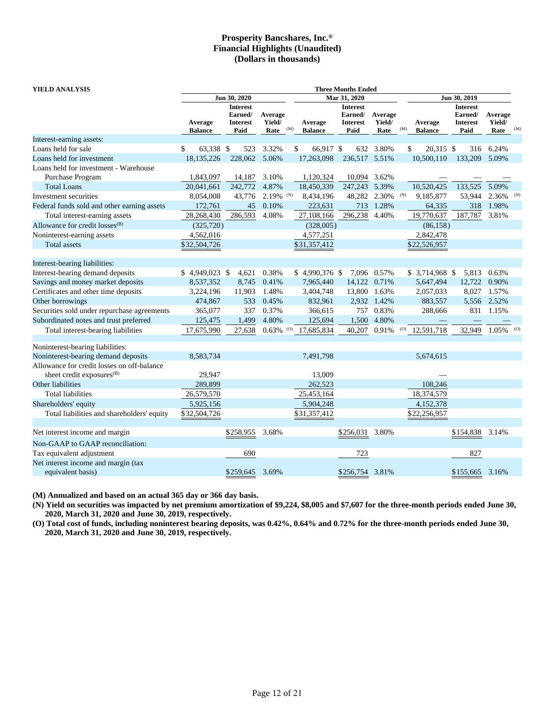| YIELD ANALYSIS                                           |                           |                                                       |                           |     |                           | <b>Three Months Ended</b>                             |                           |     |                           |                                                       |                           |     |
|----------------------------------------------------------|---------------------------|-------------------------------------------------------|---------------------------|-----|---------------------------|-------------------------------------------------------|---------------------------|-----|---------------------------|-------------------------------------------------------|---------------------------|-----|
|                                                          |                           | Jun 30, 2020                                          |                           |     | Mar 31, 2020              |                                                       |                           |     | Jun 30, 2019              |                                                       |                           |     |
|                                                          | Average<br><b>Balance</b> | <b>Interest</b><br>Earned/<br><b>Interest</b><br>Paid | Average<br>Yield/<br>Rate | (M) | Average<br><b>Balance</b> | <b>Interest</b><br>Earned/<br><b>Interest</b><br>Paid | Average<br>Yield/<br>Rate | (M) | Average<br><b>Balance</b> | <b>Interest</b><br>Earned/<br><b>Interest</b><br>Paid | Average<br>Yield/<br>Rate | (M) |
| Interest-earning assets:                                 |                           |                                                       |                           |     |                           |                                                       |                           |     |                           |                                                       |                           |     |
| Loans held for sale                                      | \$<br>63,338 \$           | 523                                                   | 3.32%                     |     | \$<br>66,917 \$           |                                                       | 632 3.80%                 |     | \$<br>20,315 \$           | 316                                                   | 6.24%                     |     |
| Loans held for investment                                | 18,135,226                | 228,062                                               | 5.06%                     |     | 17,263,098                | 236,517 5.51%                                         |                           |     | 10,500,110                | 133,209 5.09%                                         |                           |     |
| Loans held for investment - Warehouse                    |                           |                                                       |                           |     |                           |                                                       |                           |     |                           |                                                       |                           |     |
| Purchase Program                                         | 1,843,097                 | 14,187                                                | 3.10%                     |     | 1,120,324                 | 10,094 3.62%                                          |                           |     |                           |                                                       |                           |     |
| <b>Total Loans</b>                                       | 20,041,661                | 242,772                                               | 4.87%                     |     | 18,450,339                | 247,243                                               | 5.39%                     |     | 10,520,425                | 133,525                                               | 5.09%                     |     |
| Investment securities                                    | 8,054,008                 | 43,776                                                | 2.19% (N)                 |     | 8,434,196                 | 48,282 2.30%                                          |                           | (N) | 9,185,877                 | 53,944                                                | 2.36%                     |     |
| Federal funds sold and other earning assets              | 172,761                   | 45                                                    | 0.10%                     |     | 223,631                   | 713                                                   | 1.28%                     |     | 64,335                    | 318                                                   | 1.98%                     |     |
| Total interest-earning assets                            | 28,268,430                | 286,593                                               | 4.08%                     |     | 27,108,166                | 296,238                                               | 4.40%                     |     | 19,770,637                | 187,787                                               | 3.81%                     |     |
| Allowance for credit losses <sup>(B)</sup>               | (325, 720)                |                                                       |                           |     | (328,005)                 |                                                       |                           |     | (86, 158)                 |                                                       |                           |     |
| Noninterest-earning assets                               | 4,562,016                 |                                                       |                           |     | 4,577,251                 |                                                       |                           |     | 2,842,478                 |                                                       |                           |     |
| Total assets                                             | \$32,504,726              |                                                       |                           |     | \$31,357,412              |                                                       |                           |     | \$22,526,957              |                                                       |                           |     |
| Interest-bearing liabilities:                            |                           |                                                       |                           |     |                           |                                                       |                           |     |                           |                                                       |                           |     |
| Interest-bearing demand deposits                         | $$4,949,023$ \$           | 4.621                                                 | 0.38%                     |     | $$4,990,376$ \$           |                                                       | 7,096 0.57%               |     | $$3,714,968$ \$           | 5,813                                                 | 0.63%                     |     |
| Savings and money market deposits                        | 8,537,352                 | 8,745                                                 | 0.41%                     |     | 7,965,440                 | 14,122 0.71%                                          |                           |     | 5,647,494                 | 12,722                                                | 0.90%                     |     |
| Certificates and other time deposits                     | 3,224,196                 | 11,903                                                | 1.48%                     |     | 3,404,748                 | 13,800                                                | 1.63%                     |     | 2,057,033                 | 8,027                                                 | 1.57%                     |     |
| Other borrowings                                         | 474,867                   | 533                                                   | 0.45%                     |     | 832,961                   |                                                       | 2,932 1.42%               |     | 883,557                   |                                                       | 5,556 2.52%               |     |
| Securities sold under repurchase agreements              | 365,077                   | 337                                                   | 0.37%                     |     | 366,615                   |                                                       | 757 0.83%                 |     | 288,666                   | 831                                                   | 1.15%                     |     |
| Subordinated notes and trust preferred                   | 125,475                   | 1,499                                                 | 4.80%                     |     | 125,694                   | 1,500                                                 | 4.80%                     |     |                           |                                                       |                           |     |
| Total interest-bearing liabilities                       | 17,675,990                | 27,638                                                | $0.63\%$ (0)              |     | 17,685,834                | 40,207                                                | 0.91%                     | (0) | 12,591,718                | 32,949                                                | 1.05%                     | (O) |
| Noninterest-bearing liabilities:                         |                           |                                                       |                           |     |                           |                                                       |                           |     |                           |                                                       |                           |     |
| Noninterest-bearing demand deposits                      | 8,583,734                 |                                                       |                           |     | 7,491,798                 |                                                       |                           |     | 5,674,615                 |                                                       |                           |     |
| Allowance for credit losses on off-balance               |                           |                                                       |                           |     |                           |                                                       |                           |     |                           |                                                       |                           |     |
| sheet credit exposures <sup>(B)</sup>                    | 29,947                    |                                                       |                           |     | 13,009                    |                                                       |                           |     |                           |                                                       |                           |     |
| Other liabilities                                        | 289,899                   |                                                       |                           |     | 262,523                   |                                                       |                           |     | 108,246                   |                                                       |                           |     |
| <b>Total liabilities</b>                                 | 26,579,570                |                                                       |                           |     | 25,453,164                |                                                       |                           |     | 18,374,579                |                                                       |                           |     |
| Shareholders' equity                                     | 5,925,156                 |                                                       |                           |     | 5,904,248                 |                                                       |                           |     | 4,152,378                 |                                                       |                           |     |
| Total liabilities and shareholders' equity               | \$32,504,726              |                                                       |                           |     | \$31,357,412              |                                                       |                           |     | \$22,256,957              |                                                       |                           |     |
|                                                          |                           |                                                       |                           |     |                           |                                                       |                           |     |                           |                                                       |                           |     |
| Net interest income and margin                           |                           | \$258,955                                             | 3.68%                     |     |                           | \$256,031                                             | 3.80%                     |     |                           | \$154,838                                             | 3.14%                     |     |
| Non-GAAP to GAAP reconciliation:                         |                           |                                                       |                           |     |                           |                                                       |                           |     |                           |                                                       |                           |     |
| Tax equivalent adjustment                                |                           | 690                                                   |                           |     |                           | 723                                                   |                           |     |                           | 827                                                   |                           |     |
| Net interest income and margin (tax<br>equivalent basis) |                           | \$259,645                                             | 3.69%                     |     |                           | \$256,754 3.81%                                       |                           |     |                           | \$155,665                                             | 3.16%                     |     |

**(M) Annualized and based on an actual 365 day or 366 day basis.**

**(N) Yield on securities was impacted by net premium amortization of \$9,224, \$8,005 and \$7,607 for the three-month periods ended June 30, 2020, March 31, 2020 and June 30, 2019, respectively.**

**(O) Total cost of funds, including noninterest bearing deposits, was 0.42%, 0.64% and 0.72% for the three-month periods ended June 30, 2020, March 31, 2020 and June 30, 2019, respectively.**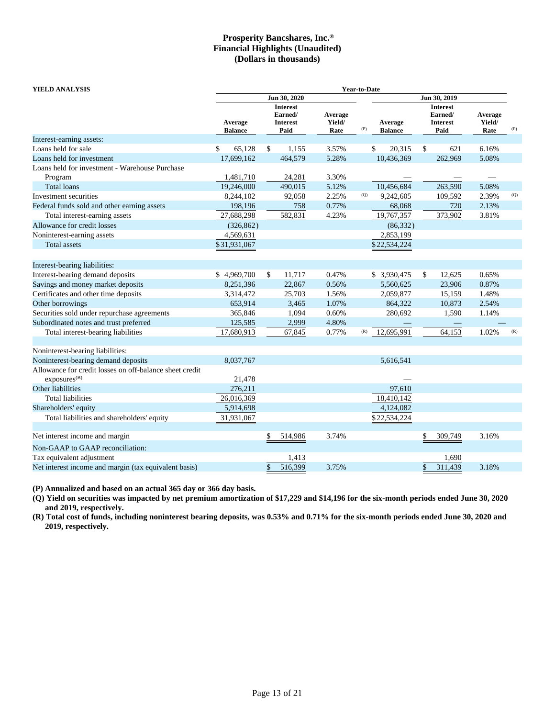| <b>YIELD ANALYSIS</b>                                                               | <b>Year-to-Date</b>       |    |                                                       |                           |     |                           |    |                                                       |                           |     |  |  |
|-------------------------------------------------------------------------------------|---------------------------|----|-------------------------------------------------------|---------------------------|-----|---------------------------|----|-------------------------------------------------------|---------------------------|-----|--|--|
|                                                                                     |                           |    | Jun 30, 2020                                          |                           |     | Jun 30, 2019              |    |                                                       |                           |     |  |  |
|                                                                                     | Average<br><b>Balance</b> |    | <b>Interest</b><br>Earned/<br><b>Interest</b><br>Paid | Average<br>Yield/<br>Rate | (P) | Average<br><b>Balance</b> |    | <b>Interest</b><br>Earned/<br><b>Interest</b><br>Paid | Average<br>Yield/<br>Rate | (P) |  |  |
| Interest-earning assets:                                                            |                           |    |                                                       |                           |     |                           |    |                                                       |                           |     |  |  |
| Loans held for sale                                                                 | \$<br>65,128              | \$ | 1,155                                                 | 3.57%                     |     | 20,315<br>\$              | \$ | 621                                                   | 6.16%                     |     |  |  |
| Loans held for investment                                                           | 17,699,162                |    | 464,579                                               | 5.28%                     |     | 10,436,369                |    | 262,969                                               | 5.08%                     |     |  |  |
| Loans held for investment - Warehouse Purchase                                      |                           |    |                                                       |                           |     |                           |    |                                                       |                           |     |  |  |
| Program                                                                             | 1,481,710                 |    | 24,281                                                | 3.30%                     |     |                           |    |                                                       |                           |     |  |  |
| <b>Total loans</b>                                                                  | 19,246,000                |    | 490,015                                               | 5.12%                     |     | 10,456,684                |    | 263,590                                               | 5.08%                     |     |  |  |
| Investment securities                                                               | 8,244,102                 |    | 92,058                                                | 2.25%                     | (Q) | 9,242,605                 |    | 109,592                                               | 2.39%                     | (Q) |  |  |
| Federal funds sold and other earning assets                                         | 198,196                   |    | 758                                                   | 0.77%                     |     | 68,068                    |    | 720                                                   | 2.13%                     |     |  |  |
| Total interest-earning assets                                                       | 27,688,298                |    | 582,831                                               | 4.23%                     |     | 19,767,357                |    | 373,902                                               | 3.81%                     |     |  |  |
| Allowance for credit losses                                                         | (326, 862)                |    |                                                       |                           |     | (86, 332)                 |    |                                                       |                           |     |  |  |
| Noninterest-earning assets                                                          | 4,569,631                 |    |                                                       |                           |     | 2,853,199                 |    |                                                       |                           |     |  |  |
| Total assets                                                                        | \$31,931,067              |    |                                                       |                           |     | \$22,534,224              |    |                                                       |                           |     |  |  |
| Interest-bearing liabilities:                                                       |                           |    |                                                       |                           |     |                           |    |                                                       |                           |     |  |  |
| Interest-bearing demand deposits                                                    | \$4,969,700               | \$ | 11,717                                                | 0.47%                     |     | \$ 3,930,475              | \$ | 12,625                                                | 0.65%                     |     |  |  |
| Savings and money market deposits                                                   | 8,251,396                 |    | 22,867                                                | 0.56%                     |     | 5,560,625                 |    | 23,906                                                | 0.87%                     |     |  |  |
| Certificates and other time deposits                                                | 3,314,472                 |    | 25,703                                                | 1.56%                     |     | 2,059,877                 |    | 15,159                                                | 1.48%                     |     |  |  |
| Other borrowings                                                                    | 653,914                   |    | 3,465                                                 | 1.07%                     |     | 864,322                   |    | 10,873                                                | 2.54%                     |     |  |  |
| Securities sold under repurchase agreements                                         | 365,846                   |    | 1,094                                                 | 0.60%                     |     | 280,692                   |    | 1,590                                                 | 1.14%                     |     |  |  |
| Subordinated notes and trust preferred                                              | 125,585                   |    | 2,999                                                 | 4.80%                     |     |                           |    |                                                       |                           |     |  |  |
| Total interest-bearing liabilities                                                  | 17,680,913                |    | 67,845                                                | 0.77%                     | (R) | 12,695,991                |    | 64,153                                                | 1.02%                     | (R) |  |  |
| Noninterest-bearing liabilities:                                                    |                           |    |                                                       |                           |     |                           |    |                                                       |                           |     |  |  |
| Noninterest-bearing demand deposits                                                 | 8,037,767                 |    |                                                       |                           |     | 5,616,541                 |    |                                                       |                           |     |  |  |
| Allowance for credit losses on off-balance sheet credit<br>exposures <sup>(B)</sup> | 21,478                    |    |                                                       |                           |     |                           |    |                                                       |                           |     |  |  |
| Other liabilities                                                                   | 276,211                   |    |                                                       |                           |     | 97,610                    |    |                                                       |                           |     |  |  |
| <b>Total liabilities</b>                                                            | 26,016,369                |    |                                                       |                           |     | 18,410,142                |    |                                                       |                           |     |  |  |
| Shareholders' equity                                                                | 5,914,698                 |    |                                                       |                           |     | 4,124,082                 |    |                                                       |                           |     |  |  |
| Total liabilities and shareholders' equity                                          | 31,931,067                |    |                                                       |                           |     | \$22,534,224              |    |                                                       |                           |     |  |  |
|                                                                                     |                           |    |                                                       |                           |     |                           |    |                                                       |                           |     |  |  |
| Net interest income and margin                                                      |                           | \$ | 514,986                                               | 3.74%                     |     |                           | \$ | 309,749                                               | 3.16%                     |     |  |  |
| Non-GAAP to GAAP reconciliation:                                                    |                           |    |                                                       |                           |     |                           |    |                                                       |                           |     |  |  |
| Tax equivalent adjustment                                                           |                           |    | 1,413                                                 |                           |     |                           |    | 1,690                                                 |                           |     |  |  |
| Net interest income and margin (tax equivalent basis)                               |                           | \$ | 516,399                                               | 3.75%                     |     |                           | \$ | 311,439                                               | 3.18%                     |     |  |  |

**(P) Annualized and based on an actual 365 day or 366 day basis.**

**(Q) Yield on securities was impacted by net premium amortization of \$17,229 and \$14,196 for the six-month periods ended June 30, 2020 and 2019, respectively.**

**(R) Total cost of funds, including noninterest bearing deposits, was 0.53% and 0.71% for the six-month periods ended June 30, 2020 and 2019, respectively.**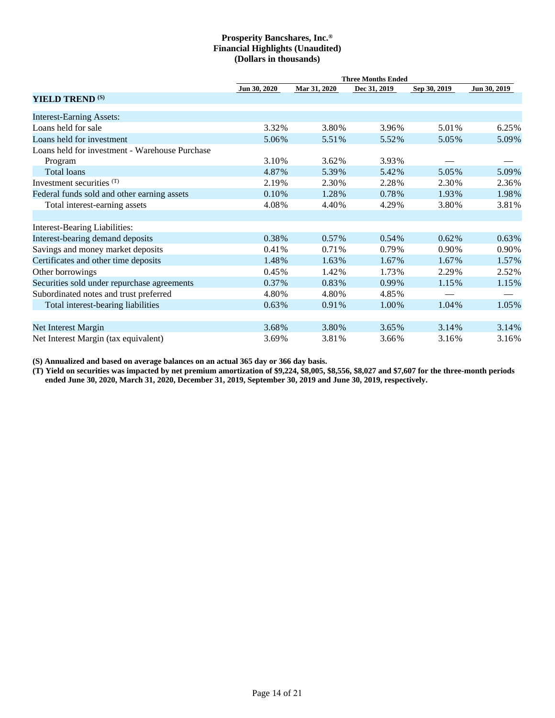|                                                | <b>Three Months Ended</b> |              |              |              |              |  |  |  |  |  |
|------------------------------------------------|---------------------------|--------------|--------------|--------------|--------------|--|--|--|--|--|
|                                                | Jun 30, 2020              | Mar 31, 2020 | Dec 31, 2019 | Sep 30, 2019 | Jun 30, 2019 |  |  |  |  |  |
| <b>YIELD TREND (S)</b>                         |                           |              |              |              |              |  |  |  |  |  |
| <b>Interest-Earning Assets:</b>                |                           |              |              |              |              |  |  |  |  |  |
| Loans held for sale                            | 3.32%                     | 3.80%        | 3.96%        | 5.01%        | 6.25%        |  |  |  |  |  |
| Loans held for investment                      | 5.06%                     | 5.51%        | 5.52%        | 5.05%        | 5.09%        |  |  |  |  |  |
| Loans held for investment - Warehouse Purchase |                           |              |              |              |              |  |  |  |  |  |
| Program                                        | 3.10%                     | 3.62%        | 3.93%        |              |              |  |  |  |  |  |
| Total loans                                    | 4.87%                     | 5.39%        | 5.42%        | 5.05%        | 5.09%        |  |  |  |  |  |
| Investment securities (T)                      | 2.19%                     | 2.30%        | 2.28%        | 2.30%        | 2.36%        |  |  |  |  |  |
| Federal funds sold and other earning assets    | 0.10%                     | 1.28%        | 0.78%        | 1.93%        | 1.98%        |  |  |  |  |  |
| Total interest-earning assets                  | 4.08%                     | 4.40%        | 4.29%        | 3.80%        | 3.81%        |  |  |  |  |  |
|                                                |                           |              |              |              |              |  |  |  |  |  |
| <b>Interest-Bearing Liabilities:</b>           |                           |              |              |              |              |  |  |  |  |  |
| Interest-bearing demand deposits               | 0.38%                     | 0.57%        | 0.54%        | 0.62%        | $0.63\%$     |  |  |  |  |  |
| Savings and money market deposits              | 0.41%                     | 0.71%        | 0.79%        | 0.90%        | 0.90%        |  |  |  |  |  |
| Certificates and other time deposits           | 1.48%                     | 1.63%        | 1.67%        | 1.67%        | 1.57%        |  |  |  |  |  |
| Other borrowings                               | 0.45%                     | 1.42%        | 1.73%        | 2.29%        | 2.52%        |  |  |  |  |  |
| Securities sold under repurchase agreements    | 0.37%                     | 0.83%        | 0.99%        | 1.15%        | 1.15%        |  |  |  |  |  |
| Subordinated notes and trust preferred         | 4.80%                     | 4.80%        | 4.85%        |              |              |  |  |  |  |  |
| Total interest-bearing liabilities             | 0.63%                     | 0.91%        | 1.00%        | 1.04%        | 1.05%        |  |  |  |  |  |
|                                                |                           |              |              |              |              |  |  |  |  |  |
| Net Interest Margin                            | 3.68%                     | 3.80%        | 3.65%        | 3.14%        | 3.14%        |  |  |  |  |  |
| Net Interest Margin (tax equivalent)           | 3.69%                     | 3.81%        | 3.66%        | 3.16%        | 3.16%        |  |  |  |  |  |

**(S) Annualized and based on average balances on an actual 365 day or 366 day basis.**

**(T) Yield on securities was impacted by net premium amortization of \$9,224, \$8,005, \$8,556, \$8,027 and \$7,607 for the three-month periods ended June 30, 2020, March 31, 2020, December 31, 2019, September 30, 2019 and June 30, 2019, respectively.**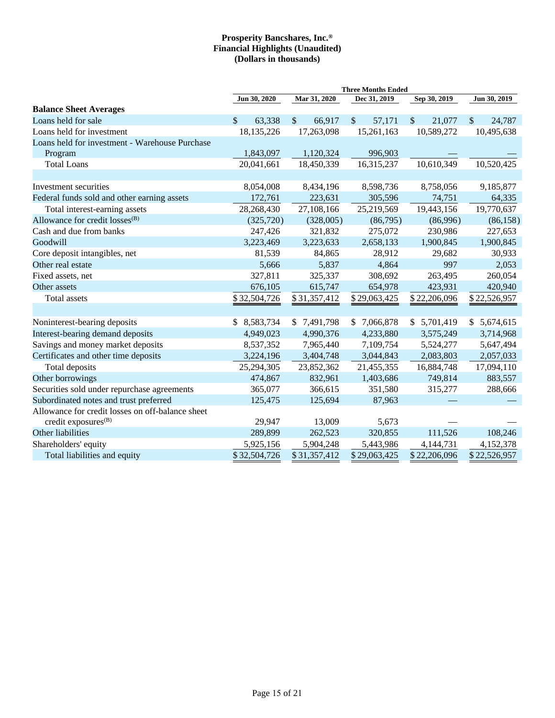|                                                                                     | <b>Three Months Ended</b><br>Sep 30, 2019 |                        |                         |                        |                             |  |  |  |  |  |  |
|-------------------------------------------------------------------------------------|-------------------------------------------|------------------------|-------------------------|------------------------|-----------------------------|--|--|--|--|--|--|
|                                                                                     | Jun 30, 2020                              | Mar 31, 2020           | Dec 31, 2019            | Jun 30, 2019           |                             |  |  |  |  |  |  |
| <b>Balance Sheet Averages</b>                                                       |                                           |                        |                         |                        |                             |  |  |  |  |  |  |
| Loans held for sale                                                                 | $\mathcal{S}$<br>63,338                   | $\mathbb{S}$<br>66,917 | $\mathcal{S}$<br>57,171 | $\mathbb{S}$<br>21,077 | $\mathbb{S}$<br>24,787      |  |  |  |  |  |  |
| Loans held for investment                                                           | 18,135,226                                | 17,263,098             | 15,261,163              | 10,589,272             | 10,495,638                  |  |  |  |  |  |  |
| Loans held for investment - Warehouse Purchase                                      |                                           |                        |                         |                        |                             |  |  |  |  |  |  |
| Program                                                                             | 1,843,097                                 | 1,120,324              | 996,903                 |                        |                             |  |  |  |  |  |  |
| <b>Total Loans</b>                                                                  | 20,041,661                                | 18,450,339             | 16,315,237              | 10,610,349             | 10,520,425                  |  |  |  |  |  |  |
| Investment securities                                                               | 8,054,008                                 | 8,434,196              | 8,598,736               | 8,758,056              | 9,185,877                   |  |  |  |  |  |  |
| Federal funds sold and other earning assets                                         | 172,761                                   | 223,631                | 305,596                 | 74.751                 | 64,335                      |  |  |  |  |  |  |
| Total interest-earning assets                                                       | 28,268,430                                | 27,108,166             | 25,219,569              | 19,443,156             | 19,770,637                  |  |  |  |  |  |  |
| Allowance for credit losses <sup>(B)</sup>                                          | (325, 720)                                | (328,005)              | (86,795)                | (86,996)               | (86, 158)                   |  |  |  |  |  |  |
| Cash and due from banks                                                             | 247,426                                   | 321,832                | 275,072                 | 230,986                | 227,653                     |  |  |  |  |  |  |
| Goodwill                                                                            | 3,223,469                                 | 3,223,633              | 2,658,133               | 1,900,845              | 1,900,845                   |  |  |  |  |  |  |
| Core deposit intangibles, net                                                       | 81,539                                    | 84,865                 | 28,912                  | 29,682                 | 30,933                      |  |  |  |  |  |  |
| Other real estate                                                                   | 5,666                                     | 5,837                  | 4,864                   | 997                    | 2,053                       |  |  |  |  |  |  |
| Fixed assets, net                                                                   | 327,811                                   | 325,337                | 308,692                 | 263,495                | 260,054                     |  |  |  |  |  |  |
| Other assets                                                                        | 676,105                                   | 615,747                | 654,978                 | 423,931                | 420,940                     |  |  |  |  |  |  |
| <b>Total</b> assets                                                                 | \$32,504,726                              | \$31,357,412           | \$29,063,425            | \$22,206,096           | \$22,526,957                |  |  |  |  |  |  |
|                                                                                     |                                           |                        |                         |                        |                             |  |  |  |  |  |  |
| Noninterest-bearing deposits                                                        | \$8,583,734                               | \$7,491,798            | \$7,066,878             | \$5,701,419            | $\mathbb{S}^-$<br>5,674,615 |  |  |  |  |  |  |
| Interest-bearing demand deposits                                                    | 4,949,023                                 | 4,990,376              | 4,233,880               | 3,575,249              | 3,714,968                   |  |  |  |  |  |  |
| Savings and money market deposits                                                   | 8,537,352                                 | 7,965,440              | 7,109,754               | 5,524,277              | 5,647,494                   |  |  |  |  |  |  |
| Certificates and other time deposits                                                | 3,224,196                                 | 3,404,748              | 3,044,843               | 2,083,803              | 2,057,033                   |  |  |  |  |  |  |
| Total deposits                                                                      | 25,294,305                                | 23,852,362             | 21,455,355              | 16,884,748             | 17,094,110                  |  |  |  |  |  |  |
| Other borrowings                                                                    | 474,867                                   | 832,961                | 1,403,686               | 749,814                | 883,557                     |  |  |  |  |  |  |
| Securities sold under repurchase agreements                                         | 365,077                                   | 366,615                | 351,580                 | 315,277                | 288,666                     |  |  |  |  |  |  |
| Subordinated notes and trust preferred                                              | 125,475                                   | 125,694                | 87,963                  |                        |                             |  |  |  |  |  |  |
| Allowance for credit losses on off-balance sheet<br>credit exposures <sup>(B)</sup> | 29,947                                    | 13,009                 | 5,673                   |                        |                             |  |  |  |  |  |  |
| Other liabilities                                                                   | 289,899                                   | 262,523                | 320,855                 | 111,526                | 108,246                     |  |  |  |  |  |  |
| Shareholders' equity                                                                | 5,925,156                                 | 5,904,248              | 5,443,986               | 4,144,731              | 4,152,378                   |  |  |  |  |  |  |
| Total liabilities and equity                                                        | \$32,504,726                              | \$31,357,412           | \$29,063,425            | \$22,206,096           | \$22,526,957                |  |  |  |  |  |  |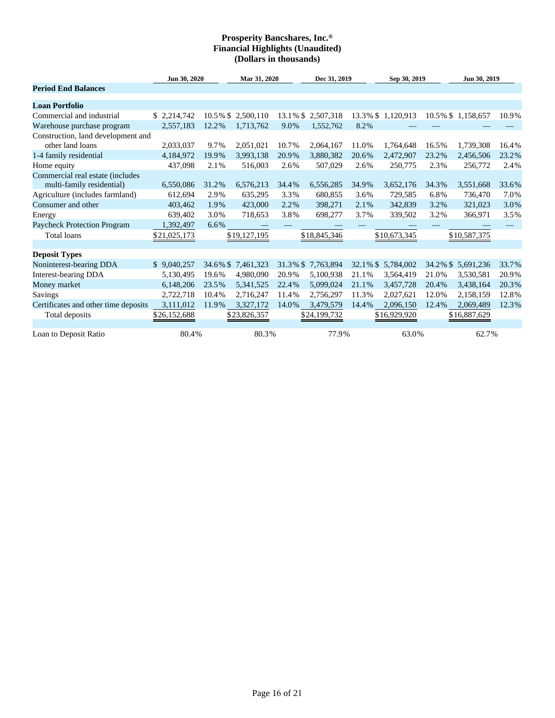|                                      | Jun 30, 2020 |             | Mar 31, 2020 |          | Dec 31, 2019       |             | Sep 30, 2019       |          | Jun 30, 2019      |       |
|--------------------------------------|--------------|-------------|--------------|----------|--------------------|-------------|--------------------|----------|-------------------|-------|
| <b>Period End Balances</b>           |              |             |              |          |                    |             |                    |          |                   |       |
| <b>Loan Portfolio</b>                |              |             |              |          |                    |             |                    |          |                   |       |
| Commercial and industrial            | \$2,214,742  | $10.5\%$ \$ | 2,500,110    |          | 13.1% \$ 2,507,318 |             | 13.3% \$ 1,120,913 |          | 10.5% \$1,158,657 | 10.9% |
| Warehouse purchase program           | 2,557,183    | 12.2%       | 1,713,762    | 9.0%     | 1,552,762          | 8.2%        |                    |          |                   |       |
| Construction, land development and   |              |             |              |          |                    |             |                    |          |                   |       |
| other land loans                     | 2,033,037    | 9.7%        | 2,051,021    | 10.7%    | 2,064,167          | 11.0%       | 1,764,648          | 16.5%    | 1,739,308         | 16.4% |
| 1-4 family residential               | 4,184,972    | 19.9%       | 3,993,138    | 20.9%    | 3,880,382          | 20.6%       | 2,472,907          | 23.2%    | 2,456,506         | 23.2% |
| Home equity                          | 437,098      | 2.1%        | 516,003      | 2.6%     | 507,029            | 2.6%        | 250,775            | 2.3%     | 256,772           | 2.4%  |
| Commercial real estate (includes     |              |             |              |          |                    |             |                    |          |                   |       |
| multi-family residential)            | 6,550,086    | 31.2%       | 6,576,213    | 34.4%    | 6,556,285          | 34.9%       | 3,652,176          | 34.3%    | 3,551,668         | 33.6% |
| Agriculture (includes farmland)      | 612,694      | 2.9%        | 635,295      | 3.3%     | 680,855            | 3.6%        | 729,585            | 6.8%     | 736,470           | 7.0%  |
| Consumer and other                   | 403,462      | 1.9%        | 423,000      | 2.2%     | 398,271            | 2.1%        | 342,839            | 3.2%     | 321,023           | 3.0%  |
| Energy                               | 639,402      | 3.0%        | 718,653      | 3.8%     | 698,277            | 3.7%        | 339,502            | 3.2%     | 366,971           | 3.5%  |
| Paycheck Protection Program          | 1,392,497    | 6.6%        |              |          |                    |             |                    |          |                   |       |
| Total loans                          | \$21,025,173 |             | \$19,127,195 |          | \$18,845,346       |             | \$10,673,345       |          | \$10,587,375      |       |
|                                      |              |             |              |          |                    |             |                    |          |                   |       |
| <b>Deposit Types</b>                 |              |             |              |          |                    |             |                    |          |                   |       |
| Noninterest-bearing DDA              | \$9,040,257  | 34.6% \$    | 7,461,323    | 31.3% \$ | 7,763,894          | $32.1\%$ \$ | 5,784,002          | 34.2% \$ | 5,691,236         | 33.7% |
| Interest-bearing DDA                 | 5,130,495    | 19.6%       | 4,980,090    | 20.9%    | 5,100,938          | 21.1%       | 3,564,419          | 21.0%    | 3,530,581         | 20.9% |
| Money market                         | 6,148,206    | 23.5%       | 5,341,525    | 22.4%    | 5,099,024          | 21.1%       | 3,457,728          | 20.4%    | 3,438,164         | 20.3% |
| Savings                              | 2,722,718    | 10.4%       | 2,716,247    | 11.4%    | 2,756,297          | 11.3%       | 2,027,621          | 12.0%    | 2,158,159         | 12.8% |
| Certificates and other time deposits | 3,111,012    | 11.9%       | 3,327,172    | 14.0%    | 3,479,579          | 14.4%       | 2,096,150          | 12.4%    | 2,069,489         | 12.3% |
| Total deposits                       | \$26,152,688 |             | \$23,826,357 |          | \$24,199,732       |             | \$16,929,920       |          | \$16,887,629      |       |
|                                      |              |             |              |          |                    |             |                    |          |                   |       |
| Loan to Deposit Ratio                | 80.4%        |             | 80.3%        |          | 77.9%              |             | 63.0%              |          | 62.7%             |       |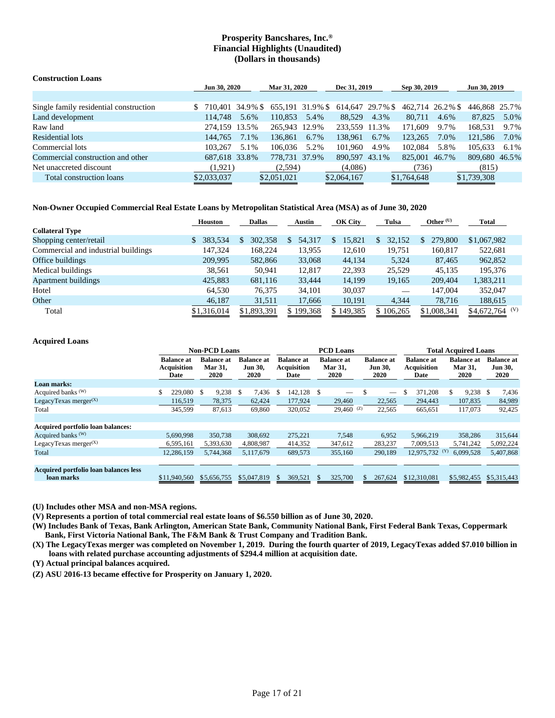| <b>Construction Loans</b>              |                  |              |                  |              |                  |              |                  |      |               |      |
|----------------------------------------|------------------|--------------|------------------|--------------|------------------|--------------|------------------|------|---------------|------|
|                                        |                  | Jun 30, 2020 |                  | Mar 31, 2020 |                  | Dec 31, 2019 | Sep 30, 2019     |      | Jun 30, 2019  |      |
|                                        |                  |              |                  |              |                  |              |                  |      |               |      |
| Single family residential construction | 710.401 34.9% \$ |              | 655,191 31.9% \$ |              | 614,647 29.7% \$ |              | 462.714 26.2% \$ |      | 446,868 25.7% |      |
| Land development                       | 114,748          | 5.6%         | 110.853          | 5.4%         | 88.529           | 4.3%         | 80.711           | 4.6% | 87,825        | 5.0% |
| Raw land                               | 274,159 13.5%    |              | 265.943 12.9%    |              | 233.559 11.3%    |              | 171.609          | 9.7% | 168.531       | 9.7% |
| Residential lots                       | 144,765          | 7.1%         | 136.861          | 6.7%         | 138.961          | 6.7%         | 123,265          | 7.0% | 121.586       | 7.0% |
| Commercial lots                        | 103.267          | 5.1%         | 106.036          | 5.2%         | 101.960          | 4.9%         | 102.084          | 5.8% | 105.633       | 6.1% |
| Commercial construction and other      | 687,618 33.8%    |              | 778.731 37.9%    |              | 890.597 43.1%    |              | 825,001 46.7%    |      | 809.680 46.5% |      |
| Net unaccreted discount                | (1, 921)         |              | (2,594)          |              | (4,086)          |              | (736)            |      | (815)         |      |
| Total construction loans               | \$2,033,037      |              | \$2,051,021      |              | \$2,064,167      |              | \$1,764,648      |      | \$1,739,308   |      |

### **Non-Owner Occupied Commercial Real Estate Loans by Metropolitan Statistical Area (MSA) as of June 30, 2020**

|                                     | <b>Houston</b> | <b>Dallas</b> | Austin       | <b>OK City</b> |           | Other $(U)$ | Total                       |
|-------------------------------------|----------------|---------------|--------------|----------------|-----------|-------------|-----------------------------|
| <b>Collateral Type</b>              |                |               |              |                |           |             |                             |
| Shopping center/retail              | 383,534        | 302,358       | 54,317<br>S. | 15,821         | 32,152    | 279,800     | \$1,067,982                 |
| Commercial and industrial buildings | 147,324        | 168.224       | 13,955       | 12,610         | 19,751    | 160,817     | 522,681                     |
| Office buildings                    | 209,995        | 582,866       | 33,068       | 44,134         | 5,324     | 87,465      | 962,852                     |
| Medical buildings                   | 38,561         | 50.941        | 12,817       | 22,393         | 25,529    | 45,135      | 195,376                     |
| <b>Apartment buildings</b>          | 425,883        | 681,116       | 33,444       | 14,199         | 19,165    | 209,404     | 1,383,211                   |
| Hotel                               | 64,530         | 76,375        | 34,101       | 30,037         |           | 147,004     | 352,047                     |
| Other                               | 46,187         | 31,511        | 17,666       | 10,191         | 4,344     | 78,716      | 188,615                     |
| Total                               | \$1,316,014    | \$1,893,391   | \$199,368    | \$149,385      | \$106,265 | \$1,008,341 | $$4,672,764$ <sup>(V)</sup> |

### **Acquired Loans**

|                                                            |                                                 | <b>Non-PCD</b> Loans                 |      |                                             |     |                                                 |  | <b>PCD</b> Loans                     |                                             |                                                 |                                             | <b>Total Acquired Loans</b> |                                                    |             |  |
|------------------------------------------------------------|-------------------------------------------------|--------------------------------------|------|---------------------------------------------|-----|-------------------------------------------------|--|--------------------------------------|---------------------------------------------|-------------------------------------------------|---------------------------------------------|-----------------------------|----------------------------------------------------|-------------|--|
|                                                            | <b>Balance at</b><br><b>Acquisition</b><br>Date | <b>Balance at</b><br>Mar 31,<br>2020 |      | <b>Balance at</b><br><b>Jun 30,</b><br>2020 |     | <b>Balance at</b><br><b>Acquisition</b><br>Date |  | <b>Balance</b> at<br>Mar 31,<br>2020 | <b>Balance at</b><br><b>Jun 30,</b><br>2020 | <b>Balance at</b><br><b>Acquisition</b><br>Date | <b>Balance at</b><br>Mar 31,<br><b>2020</b> |                             | <b>Balance at</b><br><b>Jun 30,</b><br><b>2020</b> |             |  |
| Loan marks:                                                |                                                 |                                      |      |                                             |     |                                                 |  |                                      |                                             |                                                 |                                             |                             |                                                    |             |  |
| Acquired banks <sup>(W)</sup>                              | \$<br>229,080 \$                                | 9,238                                | - \$ | 7,436                                       | -\$ | 142,128 \$                                      |  |                                      | $=$                                         | \$<br>371,208                                   | \$                                          | 9,238 \$                    |                                                    | 7,436       |  |
| LegacyTexas merger $(X)$                                   | 116.519                                         | 78,375                               |      | 62,424                                      |     | 177,924                                         |  | 29,460                               | 22,565                                      | 294,443                                         |                                             | 107,835                     |                                                    | 84,989      |  |
| Total                                                      | 345,599                                         | 87,613                               |      | 69,860                                      |     | 320,052                                         |  | $29,460$ <sup>(Z)</sup>              | 22,565                                      | 665,651                                         |                                             | 117,073                     |                                                    | 92,425      |  |
|                                                            |                                                 |                                      |      |                                             |     |                                                 |  |                                      |                                             |                                                 |                                             |                             |                                                    |             |  |
| Acquired portfolio loan balances:                          |                                                 |                                      |      |                                             |     |                                                 |  |                                      |                                             |                                                 |                                             |                             |                                                    |             |  |
| Acquired banks <sup>(W)</sup>                              | 5.690.998                                       | 350,738                              |      | 308,692                                     |     | 275,221                                         |  | 7.548                                | 6,952                                       | 5.966.219                                       |                                             | 358,286                     |                                                    | 315,644     |  |
| LegacyTexas merger $(X)$                                   | 6,595,161                                       | 5,393,630                            |      | 4,808,987                                   |     | 414,352                                         |  | 347,612                              | 283,237                                     | 7.009.513                                       |                                             | 5,741,242                   |                                                    | 5,092,224   |  |
| Total                                                      | 12.286.159                                      | 5.744.368                            |      | 5.117.679                                   |     | 689,573                                         |  | 355,160                              | 290.189                                     | 12,975,732                                      | (Y)                                         | 6.099.528                   |                                                    | 5.407.868   |  |
|                                                            |                                                 |                                      |      |                                             |     |                                                 |  |                                      |                                             |                                                 |                                             |                             |                                                    |             |  |
| <b>Acquired portfolio loan balances less</b><br>loan marks | \$11,940,560                                    | \$5,656,755                          |      | \$5,047,819                                 |     | 369,521                                         |  | 325,700                              | 267,624                                     | \$12,310,081                                    |                                             | \$5,982,455                 |                                                    | \$5,315,443 |  |
|                                                            |                                                 |                                      |      |                                             |     |                                                 |  |                                      |                                             |                                                 |                                             |                             |                                                    |             |  |

**(U) Includes other MSA and non-MSA regions.**

**(V) Represents a portion of total commercial real estate loans of \$6.550 billion as of June 30, 2020.**

**(W) Includes Bank of Texas, Bank Arlington, American State Bank, Community National Bank, First Federal Bank Texas, Coppermark Bank, First Victoria National Bank, The F&M Bank & Trust Company and Tradition Bank.**

**(X) The LegacyTexas merger was completed on November 1, 2019. During the fourth quarter of 2019, LegacyTexas added \$7.010 billion in loans with related purchase accounting adjustments of \$294.4 million at acquisition date.**

**(Y) Actual principal balances acquired.**

**(Z) ASU 2016-13 became effective for Prosperity on January 1, 2020.**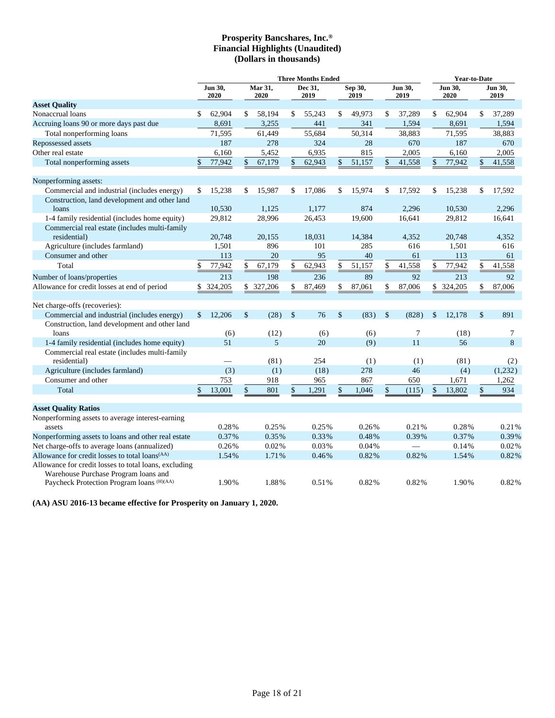|                                                                                                                                            |               |                 |               |                 |               | <b>Three Months Ended</b> |               |                 |               |                 |               | <b>Year-to-Date</b> |                 |
|--------------------------------------------------------------------------------------------------------------------------------------------|---------------|-----------------|---------------|-----------------|---------------|---------------------------|---------------|-----------------|---------------|-----------------|---------------|---------------------|-----------------|
|                                                                                                                                            |               | Jun 30,<br>2020 |               | Mar 31,<br>2020 |               | Dec 31,<br>2019           |               | Sep 30,<br>2019 |               | Jun 30,<br>2019 |               | Jun 30,<br>2020     | Jun 30,<br>2019 |
| <b>Asset Quality</b>                                                                                                                       |               |                 |               |                 |               |                           |               |                 |               |                 |               |                     |                 |
| Nonaccrual loans                                                                                                                           | \$            | 62,904          | \$            | 58,194          | \$            | 55,243                    | \$            | 49.973          | \$            | 37,289          | \$            | 62,904              | \$<br>37,289    |
| Accruing loans 90 or more days past due                                                                                                    |               | 8,691           |               | 3,255           |               | 441                       |               | 341             |               | 1,594           |               | 8,691               | 1,594           |
| Total nonperforming loans                                                                                                                  |               | 71,595          |               | 61,449          |               | 55,684                    |               | 50,314          |               | 38,883          |               | 71,595              | 38,883          |
| Repossessed assets                                                                                                                         |               | 187             |               | 278             |               | 324                       |               | 28              |               | 670             |               | 187                 | 670             |
| Other real estate                                                                                                                          |               | 6,160           |               | 5,452           |               | 6,935                     |               | 815             |               | 2,005           |               | 6,160               | 2,005           |
| Total nonperforming assets                                                                                                                 | \$            | 77,942          | \$.           | 67,179          | \$            | 62,943                    | $\mathbf{\$}$ | 51,157          | \$.           | 41,558          | \$            | 77,942              | \$<br>41,558    |
| Nonperforming assets:                                                                                                                      |               |                 |               |                 |               |                           |               |                 |               |                 |               |                     |                 |
| Commercial and industrial (includes energy)                                                                                                | <sup>\$</sup> | 15,238          | \$            | 15,987          | \$            | 17,086                    | \$            | 15,974          | \$            | 17,592          | \$            | 15,238              | \$<br>17,592    |
| Construction, land development and other land<br>loans                                                                                     |               | 10,530          |               | 1,125           |               | 1,177                     |               | 874             |               | 2,296           |               | 10,530              | 2,296           |
| 1-4 family residential (includes home equity)                                                                                              |               | 29,812          |               | 28,996          |               | 26,453                    |               | 19,600          |               | 16,641          |               | 29,812              | 16,641          |
| Commercial real estate (includes multi-family                                                                                              |               |                 |               |                 |               |                           |               |                 |               |                 |               |                     |                 |
| residential)                                                                                                                               |               | 20,748          |               | 20,155<br>896   |               | 18,031                    |               | 14,384          |               | 4,352           |               | 20,748              | 4,352           |
| Agriculture (includes farmland)                                                                                                            |               | 1,501           |               |                 |               | 101                       |               | 285             |               | 616             |               | 1,501               | 616             |
| Consumer and other                                                                                                                         |               | 113             |               | 20              |               | 95                        |               | 40              |               | 61              |               | 113                 | 61              |
| Total                                                                                                                                      | \$            | 77,942          | \$            | 67,179          | \$            | 62,943                    | \$            | 51,157          | \$            | 41,558          | \$            | 77,942              | \$<br>41,558    |
| Number of loans/properties                                                                                                                 |               | 213             |               | 198             |               | 236                       |               | 89              |               | 92              |               | 213                 | 92              |
| Allowance for credit losses at end of period                                                                                               |               | \$ 324,205      |               | \$327,206       | \$            | 87,469                    | \$            | 87,061          | \$            | 87,006          |               | \$ 324,205          | \$<br>87,006    |
| Net charge-offs (recoveries):                                                                                                              |               |                 |               |                 |               |                           |               |                 |               |                 |               |                     |                 |
| Commercial and industrial (includes energy)                                                                                                | $\mathcal{S}$ | 12,206          | $\mathbf{\$}$ | (28)            | $\mathcal{S}$ | 76                        | $\mathsf{\$}$ | (83)            | $\mathcal{S}$ | (828)           | $\mathcal{S}$ | 12.178              | \$<br>891       |
| Construction, land development and other land<br>loans                                                                                     |               | (6)             |               | (12)            |               | (6)                       |               | (6)             |               | 7               |               | (18)                | 7               |
| 1-4 family residential (includes home equity)                                                                                              |               | 51              |               | 5               |               | 20                        |               | (9)             |               | 11              |               | 56                  | 8               |
| Commercial real estate (includes multi-family                                                                                              |               |                 |               |                 |               |                           |               |                 |               |                 |               |                     |                 |
| residential)                                                                                                                               |               |                 |               | (81)            |               | 254                       |               | (1)             |               | (1)             |               | (81)                | (2)             |
| Agriculture (includes farmland)                                                                                                            |               | (3)             |               | (1)             |               | (18)                      |               | 278             |               | 46              |               | (4)                 | (1,232)         |
| Consumer and other                                                                                                                         |               | 753             |               | 918             |               | 965                       |               | 867             |               | 650             |               | 1,671               | 1,262           |
| Total                                                                                                                                      | \$            | 13,001          | \$            | 801             | \$            | 1,291                     | \$            | 1,046           | $\mathbb{S}$  | (115)           | \$            | 13,802              | \$<br>934       |
| <b>Asset Quality Ratios</b>                                                                                                                |               |                 |               |                 |               |                           |               |                 |               |                 |               |                     |                 |
| Nonperforming assets to average interest-earning                                                                                           |               |                 |               |                 |               |                           |               |                 |               |                 |               |                     |                 |
| assets                                                                                                                                     |               | 0.28%           |               | 0.25%           |               | 0.25%                     |               | 0.26%           |               | 0.21%           |               | 0.28%               | 0.21%           |
| Nonperforming assets to loans and other real estate                                                                                        |               | 0.37%           |               | 0.35%           |               | 0.33%                     |               | 0.48%           |               | 0.39%           |               | 0.37%               | 0.39%           |
| Net charge-offs to average loans (annualized)                                                                                              |               | 0.26%           |               | 0.02%           |               | 0.03%                     |               | 0.04%           |               |                 |               | 0.14%               | 0.02%           |
| Allowance for credit losses to total loans <sup>(AA)</sup>                                                                                 |               | 1.54%           |               | 1.71%           |               | 0.46%                     |               | 0.82%           |               | 0.82%           |               | 1.54%               | 0.82%           |
| Allowance for credit losses to total loans, excluding<br>Warehouse Purchase Program loans and<br>Paycheck Protection Program loans (H)(AA) |               | 1.90%           |               | 1.88%           |               | 0.51%                     |               | 0.82%           |               | 0.82%           |               | 1.90%               | 0.82%           |

**(AA) ASU 2016-13 became effective for Prosperity on January 1, 2020.**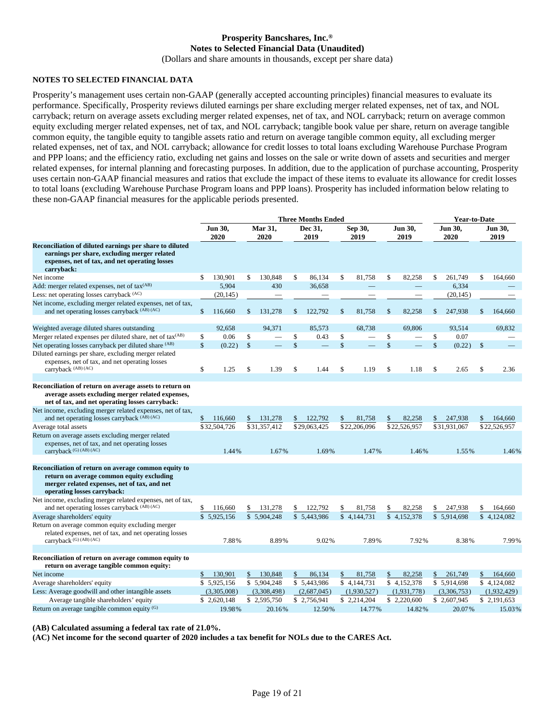# **Prosperity Bancshares, Inc.® Notes to Selected Financial Data (Unaudited)**

(Dollars and share amounts in thousands, except per share data)

### **NOTES TO SELECTED FINANCIAL DATA**

Prosperity's management uses certain non-GAAP (generally accepted accounting principles) financial measures to evaluate its performance. Specifically, Prosperity reviews diluted earnings per share excluding merger related expenses, net of tax, and NOL carryback; return on average assets excluding merger related expenses, net of tax, and NOL carryback; return on average common equity excluding merger related expenses, net of tax, and NOL carryback; tangible book value per share, return on average tangible common equity, the tangible equity to tangible assets ratio and return on average tangible common equity, all excluding merger related expenses, net of tax, and NOL carryback; allowance for credit losses to total loans excluding Warehouse Purchase Program and PPP loans; and the efficiency ratio, excluding net gains and losses on the sale or write down of assets and securities and merger related expenses, for internal planning and forecasting purposes. In addition, due to the application of purchase accounting, Prosperity uses certain non-GAAP financial measures and ratios that exclude the impact of these items to evaluate its allowance for credit losses to total loans (excluding Warehouse Purchase Program loans and PPP loans). Prosperity has included information below relating to these non-GAAP financial measures for the applicable periods presented.

|                                                                                                                                                                                  |                 |                 | <b>Three Months Ended</b> |                 |                 | <b>Year-to-Date</b> |                        |  |  |
|----------------------------------------------------------------------------------------------------------------------------------------------------------------------------------|-----------------|-----------------|---------------------------|-----------------|-----------------|---------------------|------------------------|--|--|
|                                                                                                                                                                                  | Jun 30,<br>2020 | Mar 31,<br>2020 | Dec 31,<br>2019           | Sep 30,<br>2019 | Jun 30,<br>2019 | Jun 30,<br>2020     | <b>Jun 30,</b><br>2019 |  |  |
| Reconciliation of diluted earnings per share to diluted<br>earnings per share, excluding merger related<br>expenses, net of tax, and net operating losses<br>carryback:          |                 |                 |                           |                 |                 |                     |                        |  |  |
| Net income                                                                                                                                                                       | \$<br>130,901   | \$<br>130,848   | \$<br>86,134              | \$<br>81,758    | \$<br>82,258    | \$<br>261,749       | \$<br>164,660          |  |  |
| Add: merger related expenses, net of $tax(AB)$                                                                                                                                   | 5,904           | 430             | 36,658                    |                 |                 | 6,334               |                        |  |  |
| Less: net operating losses carryback (AC)                                                                                                                                        | (20, 145)       | $\qquad \qquad$ | $\overline{\phantom{0}}$  |                 |                 | (20, 145)           |                        |  |  |
| Net income, excluding merger related expenses, net of tax,<br>and net operating losses carryback (AB) (AC)                                                                       | \$<br>116,660   | \$<br>131,278   | \$<br>122.792             | \$<br>81,758    | \$<br>82,258    | \$<br>247,938       | \$<br>164,660          |  |  |
| Weighted average diluted shares outstanding                                                                                                                                      | 92,658          | 94.371          | 85,573                    | 68,738          | 69.806          | 93,514              | 69,832                 |  |  |
| Merger related expenses per diluted share, net of tax <sup>(AB)</sup>                                                                                                            | \$<br>0.06      | \$              | \$<br>0.43                | \$              | \$              | \$<br>0.07          |                        |  |  |
| Net operating losses carryback per diluted share (AB)                                                                                                                            | \$<br>(0.22)    | \$              | \$                        | \$              | \$              | \$<br>(0.22)        | \$                     |  |  |
| Diluted earnings per share, excluding merger related<br>expenses, net of tax, and net operating losses<br>carryback (AB) (AC)                                                    | \$<br>1.25      | \$<br>1.39      | \$<br>1.44                | \$<br>1.19      | \$<br>1.18      | \$<br>2.65          | \$<br>2.36             |  |  |
| Reconciliation of return on average assets to return on<br>average assets excluding merger related expenses,<br>net of tax, and net operating losses carryback:                  |                 |                 |                           |                 |                 |                     |                        |  |  |
| Net income, excluding merger related expenses, net of tax,                                                                                                                       |                 |                 |                           |                 |                 |                     |                        |  |  |
| and net operating losses carryback (AB) (AC)                                                                                                                                     | \$<br>116,660   | \$<br>131,278   | \$<br>122,792             | \$<br>81,758    | \$<br>82,258    | \$<br>247,938       | \$<br>164,660          |  |  |
| Average total assets                                                                                                                                                             | \$32,504,726    | \$31,357,412    | \$29,063,425              | \$22,206,096    | \$22,526,957    | \$31,931,067        | \$22,526,957           |  |  |
| Return on average assets excluding merger related<br>expenses, net of tax, and net operating losses<br>carryback (G) (AB) (AC)                                                   | 1.44%           | 1.67%           | 1.69%                     | 1.47%           | 1.46%           | 1.55%               | 1.46%                  |  |  |
| Reconciliation of return on average common equity to<br>return on average common equity excluding<br>merger related expenses, net of tax, and net<br>operating losses carryback: |                 |                 |                           |                 |                 |                     |                        |  |  |
| Net income, excluding merger related expenses, net of tax,<br>and net operating losses carryback (AB) (AC)                                                                       | \$<br>116,660   | \$<br>131,278   | \$<br>122,792             | \$<br>81,758    | \$<br>82,258    | \$<br>247,938       | \$<br>164,660          |  |  |
| Average shareholders' equity                                                                                                                                                     | \$5,925,156     | \$5.904.248     | \$5.443.986               | \$4,144,731     | \$4.152,378     | \$5.914.698         | \$<br>4.124.082        |  |  |
| Return on average common equity excluding merger                                                                                                                                 |                 |                 |                           |                 |                 |                     |                        |  |  |
| related expenses, net of tax, and net operating losses<br>carryback <sup>(G)</sup> (AB) (AC)                                                                                     | 7.88%           | 8.89%           | 9.02%                     | 7.89%           | 7.92%           | 8.38%               | 7.99%                  |  |  |
|                                                                                                                                                                                  |                 |                 |                           |                 |                 |                     |                        |  |  |
| Reconciliation of return on average common equity to<br>return on average tangible common equity:                                                                                |                 |                 |                           |                 |                 |                     |                        |  |  |
| Net income                                                                                                                                                                       | \$<br>130,901   | \$<br>130,848   | \$<br>86,134              | 81,758          | \$<br>82,258    | \$<br>261,749       | \$<br>164,660          |  |  |
| Average shareholders' equity                                                                                                                                                     | \$5,925,156     | \$5,904,248     | \$5.443.986               | \$4.144.731     | \$4.152.378     | \$5.914.698         | \$4,124,082            |  |  |
| Less: Average goodwill and other intangible assets                                                                                                                               | (3,305,008)     | (3,308,498)     | (2,687,045)               | (1,930,527)     | (1,931,778)     | (3,306,753)         | (1,932,429)            |  |  |
| Average tangible shareholders' equity                                                                                                                                            | \$2,620,148     | \$2,595,750     | \$2,756,941               | \$2,214,204     | \$2,220,600     | \$2,607,945         | \$2,191,653            |  |  |
| Return on average tangible common equity (G)                                                                                                                                     | 19.98%          | 20.16%          | 12.50%                    | 14.77%          | 14.82%          | 20.07%              | 15.03%                 |  |  |

**(AB) Calculated assuming a federal tax rate of 21.0%.**

**(AC) Net income for the second quarter of 2020 includes a tax benefit for NOLs due to the CARES Act.**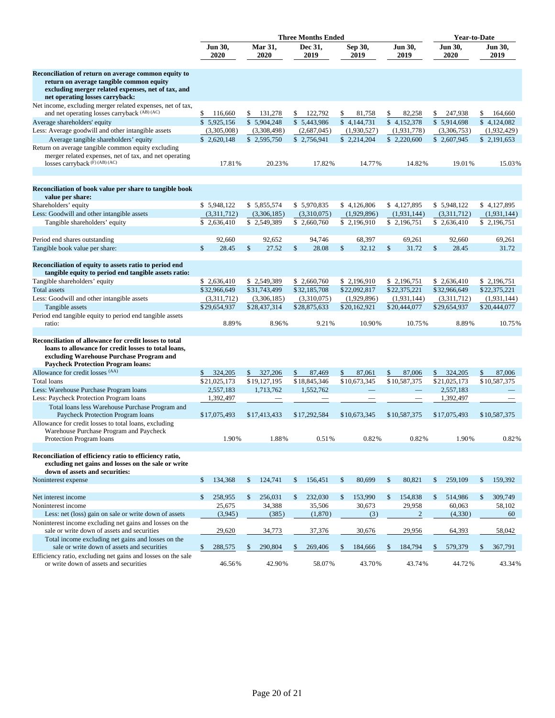|                                                                                                                                                                                                         |                          |                 | <b>Three Months Ended</b> |                         |                            | <b>Year-to-Date</b>     |                        |
|---------------------------------------------------------------------------------------------------------------------------------------------------------------------------------------------------------|--------------------------|-----------------|---------------------------|-------------------------|----------------------------|-------------------------|------------------------|
|                                                                                                                                                                                                         | <b>Jun 30,</b><br>2020   | Mar 31,<br>2020 | Dec 31,<br>2019           | Sep 30,<br>2019         | <b>Jun 30,</b><br>2019     | Jun 30,<br>2020         | <b>Jun 30,</b><br>2019 |
| Reconciliation of return on average common equity to<br>return on average tangible common equity                                                                                                        |                          |                 |                           |                         |                            |                         |                        |
| excluding merger related expenses, net of tax, and<br>net operating losses carryback:                                                                                                                   |                          |                 |                           |                         |                            |                         |                        |
| Net income, excluding merger related expenses, net of tax,<br>and net operating losses carryback (AB) (AC)                                                                                              | \$<br>116,660            | \$<br>131,278   | 122,792<br>\$             | \$<br>81,758            | \$<br>82,258               | \$<br>247,938           | \$<br>164,660          |
| Average shareholders' equity                                                                                                                                                                            | \$5,925,156              | \$5,904,248     | \$5,443,986               | \$4,144,731             | \$4,152,378                | \$5,914,698             | \$4,124,082            |
| Less: Average goodwill and other intangible assets                                                                                                                                                      | (3,305,008)              | (3,308,498)     | (2,687,045)               | (1,930,527)             | (1,931,778)                | (3,306,753)             | (1,932,429)            |
| Average tangible shareholders' equity                                                                                                                                                                   | \$2,620,148              | \$2,595,750     | \$2,756,941               | \$2,214,204             | \$2,220,600                | \$2,607,945             | \$2,191,653            |
| Return on average tangible common equity excluding<br>merger related expenses, net of tax, and net operating<br>losses carryback (F) (AB) (AC)                                                          | 17.81%                   | 20.23%          | 17.82%                    | 14.77%                  | 14.82%                     | 19.01%                  | 15.03%                 |
| Reconciliation of book value per share to tangible book                                                                                                                                                 |                          |                 |                           |                         |                            |                         |                        |
| value per share:                                                                                                                                                                                        |                          |                 |                           |                         |                            |                         |                        |
| Shareholders' equity                                                                                                                                                                                    | \$ 5,948,122             | \$5,855,574     | \$ 5,970,835              | \$4,126,806             | \$4,127,895                | \$5,948,122             | \$4,127,895            |
| Less: Goodwill and other intangible assets                                                                                                                                                              | (3,311,712)              | (3,306,185)     | (3,310,075)               | (1,929,896)             | (1,931,144)<br>\$2,196,751 | (3,311,712)             | (1,931,144)            |
| Tangible shareholders' equity                                                                                                                                                                           | \$2,636,410              | \$2,549,389     | \$2,660,760               | \$2,196,910             |                            | \$2,636,410             | \$2,196,751            |
| Period end shares outstanding                                                                                                                                                                           | 92,660                   | 92,652          | 94,746                    | 68,397                  | 69,261                     | 92,660                  | 69,261                 |
| Tangible book value per share:                                                                                                                                                                          | \$<br>28.45              | \$<br>27.52     | \$<br>28.08               | \$<br>32.12             | \$<br>31.72                | \$<br>28.45             | 31.72                  |
|                                                                                                                                                                                                         |                          |                 |                           |                         |                            |                         |                        |
| Reconciliation of equity to assets ratio to period end<br>tangible equity to period end tangible assets ratio:                                                                                          |                          |                 |                           |                         |                            |                         |                        |
| Tangible shareholders' equity                                                                                                                                                                           | \$2,636,410              | \$2,549,389     | \$2,660,760               | \$2,196,910             | \$2,196,751                | \$ 2,636,410            | \$2,196,751            |
| <b>Total</b> assets                                                                                                                                                                                     | \$32,966,649             | \$31,743,499    | \$32,185,708              | \$22,092,817            | \$22,375,221               | \$32,966,649            | \$22,375,221           |
| Less: Goodwill and other intangible assets                                                                                                                                                              | (3,311,712)              | (3,306,185)     | (3,310,075)               | (1,929,896)             | (1,931,144)                | (3,311,712)             | (1,931,144)            |
| Tangible assets                                                                                                                                                                                         | \$29,654,937             | \$28,437,314    | \$28,875,633              | \$20,162,921            | \$20,444,077               | \$29,654,937            | \$20,444,077           |
| Period end tangible equity to period end tangible assets<br>ratio:                                                                                                                                      | 8.89%                    | 8.96%           | 9.21%                     | 10.90%                  | 10.75%                     | 8.89%                   | 10.75%                 |
|                                                                                                                                                                                                         |                          |                 |                           |                         |                            |                         |                        |
| Reconciliation of allowance for credit losses to total<br>loans to allowance for credit losses to total loans,<br>excluding Warehouse Purchase Program and<br><b>Paycheck Protection Program loans:</b> |                          |                 |                           |                         |                            |                         |                        |
| Allowance for credit losses (AA)                                                                                                                                                                        | 324,205<br>\$            | 327,206<br>\$   | 87,469<br>\$              | 87,061<br>\$            | 87,006<br>\$               | \$<br>324,205           | 87,006<br>\$           |
| <b>Total loans</b>                                                                                                                                                                                      | \$21,025,173             | \$19,127,195    | \$18,845,346              | \$10,673,345            | \$10,587,375               | \$21,025,173            | \$10,587,375           |
| Less: Warehouse Purchase Program loans                                                                                                                                                                  | 2,557,183                | 1,713,762       | 1,552,762                 |                         |                            | 2,557,183               |                        |
| Less: Paycheck Protection Program loans                                                                                                                                                                 | 1,392,497                |                 |                           |                         |                            | 1,392,497               |                        |
| Total loans less Warehouse Purchase Program and<br>Paycheck Protection Program loans<br>Allowance for credit losses to total loans, excluding                                                           | \$17,075,493             | \$17,413,433    | \$17,292,584              | \$10,673,345            | \$10,587,375               | \$17,075,493            | \$10,587,375           |
| Warehouse Purchase Program and Paycheck                                                                                                                                                                 |                          |                 |                           |                         |                            |                         |                        |
| Protection Program loans                                                                                                                                                                                | 1.90%                    | 1.88%           | 0.51%                     | 0.82%                   | 0.82%                      | 1.90%                   | 0.82%                  |
| Reconciliation of efficiency ratio to efficiency ratio,<br>excluding net gains and losses on the sale or write<br>down of assets and securities:                                                        |                          |                 |                           |                         |                            |                         |                        |
| Noninterest expense                                                                                                                                                                                     | $\mathcal{S}$<br>134,368 | 124,741<br>\$   | 156,451<br>\$             | $\mathcal{S}$<br>80.699 | $\mathbb{S}$<br>80,821     | $\mathbb{S}$<br>259,109 | 159,392<br>\$          |
|                                                                                                                                                                                                         |                          |                 |                           |                         |                            |                         |                        |
| Net interest income                                                                                                                                                                                     | 258,955<br>\$            | 256,031<br>\$   | 232,030<br>$\mathbb{S}$   | 153,990<br>$\mathbb{S}$ | 154,838<br>\$              | \$<br>514,986           | 309,749<br>\$          |
| Noninterest income                                                                                                                                                                                      | 25,675                   | 34,388          | 35,506                    | 30,673                  | 29,958                     | 60,063                  | 58,102                 |
| Less: net (loss) gain on sale or write down of assets                                                                                                                                                   | (3,945)                  | (385)           | (1,870)                   | (3)                     | $\overline{c}$             | (4,330)                 | 60                     |
| Noninterest income excluding net gains and losses on the                                                                                                                                                |                          |                 |                           |                         |                            |                         |                        |
| sale or write down of assets and securities                                                                                                                                                             | 29,620                   | 34,773          | 37,376                    | 30,676                  | 29,956                     | 64,393                  | 58,042                 |
| Total income excluding net gains and losses on the<br>sale or write down of assets and securities                                                                                                       | $\mathsf{\$}$<br>288,575 | \$<br>290,804   | \$<br>269,406             | \$<br>184,666           | \$<br>184,794              | \$<br>579,379           | \$<br>367,791          |
| Efficiency ratio, excluding net gains and losses on the sale<br>or write down of assets and securities                                                                                                  | 46.56%                   | 42.90%          | 58.07%                    | 43.70%                  | 43.74%                     | 44.72%                  | 43.34%                 |